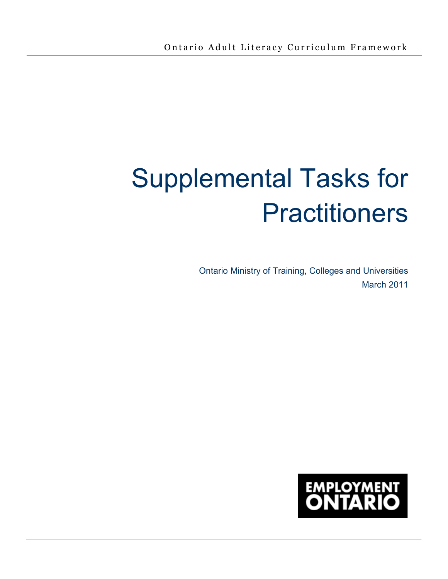# Supplemental Tasks for **Practitioners**

Ontario Ministry of Training, Colleges and Universities March 2011

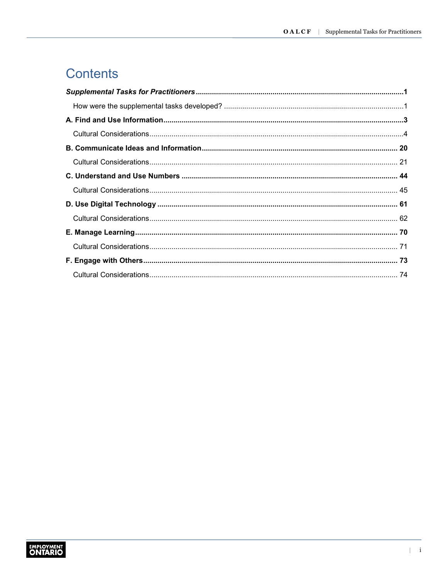## Contents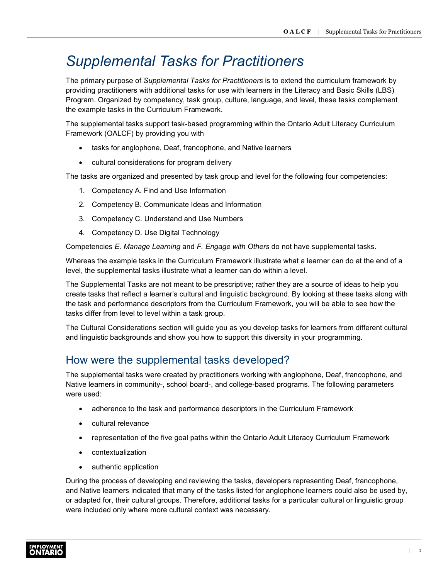## <span id="page-2-0"></span>*Supplemental Tasks for Practitioners*

The primary purpose of *Supplemental Tasks for Practitioners* is to extend the curriculum framework by providing practitioners with additional tasks for use with learners in the Literacy and Basic Skills (LBS) Program. Organized by competency, task group, culture, language, and level, these tasks complement the example tasks in the Curriculum Framework.

The supplemental tasks support task-based programming within the Ontario Adult Literacy Curriculum Framework (OALCF) by providing you with

- tasks for anglophone, Deaf, francophone, and Native learners
- cultural considerations for program delivery

The tasks are organized and presented by task group and level for the following four competencies:

- 1. Competency A. Find and Use Information
- 2. Competency B. Communicate Ideas and Information
- 3. Competency C. Understand and Use Numbers
- 4. Competency D. Use Digital Technology

Competencies *E. Manage Learning* and *F. Engage with Others* do not have supplemental tasks.

Whereas the example tasks in the Curriculum Framework illustrate what a learner can do at the end of a level, the supplemental tasks illustrate what a learner can do within a level.

The Supplemental Tasks are not meant to be prescriptive; rather they are a source of ideas to help you create tasks that reflect a learner's cultural and linguistic background. By looking at these tasks along with the task and performance descriptors from the Curriculum Framework, you will be able to see how the tasks differ from level to level within a task group.

The Cultural Considerations section will guide you as you develop tasks for learners from different cultural and linguistic backgrounds and show you how to support this diversity in your programming.

#### <span id="page-2-1"></span>How were the supplemental tasks developed?

The supplemental tasks were created by practitioners working with anglophone, Deaf, francophone, and Native learners in community-, school board-, and college-based programs. The following parameters were used:

- adherence to the task and performance descriptors in the Curriculum Framework
- cultural relevance
- representation of the five goal paths within the Ontario Adult Literacy Curriculum Framework
- contextualization
- authentic application

During the process of developing and reviewing the tasks, developers representing Deaf, francophone, and Native learners indicated that many of the tasks listed for anglophone learners could also be used by, or adapted for, their cultural groups. Therefore, additional tasks for a particular cultural or linguistic group were included only where more cultural context was necessary.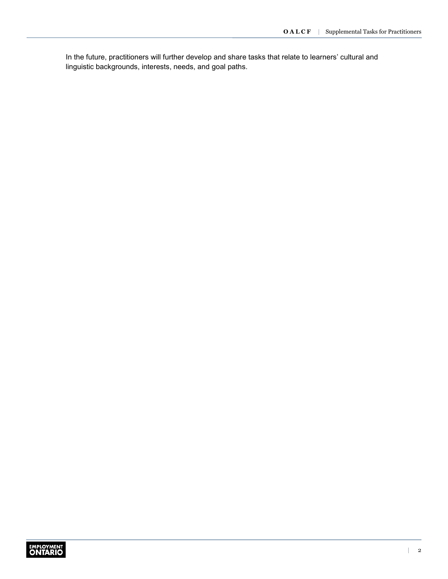In the future, practitioners will further develop and share tasks that relate to learners' cultural and linguistic backgrounds, interests, needs, and goal paths.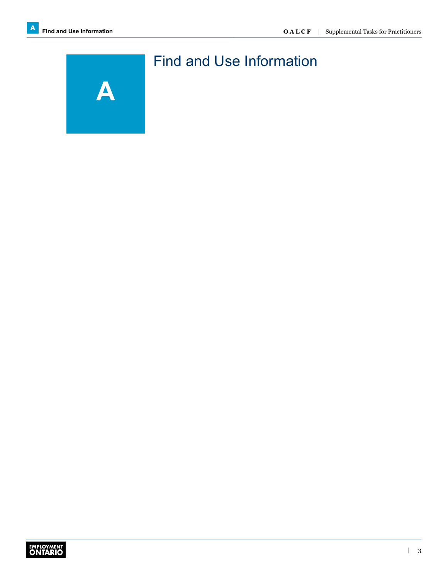<span id="page-4-0"></span>

## Find and Use Information

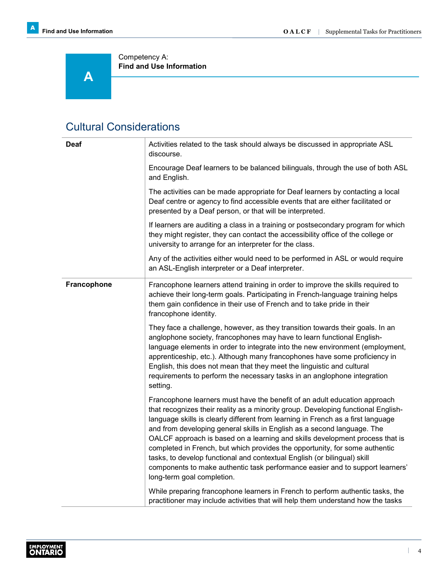**A** 

Competency A: **Find and Use Information**

#### <span id="page-5-0"></span>Cultural Considerations

| <b>Deaf</b> | Activities related to the task should always be discussed in appropriate ASL<br>discourse.                                                                                                                                                                                                                                                                                                                                                                                                                                                                                                                                                                                              |
|-------------|-----------------------------------------------------------------------------------------------------------------------------------------------------------------------------------------------------------------------------------------------------------------------------------------------------------------------------------------------------------------------------------------------------------------------------------------------------------------------------------------------------------------------------------------------------------------------------------------------------------------------------------------------------------------------------------------|
|             | Encourage Deaf learners to be balanced bilinguals, through the use of both ASL<br>and English.                                                                                                                                                                                                                                                                                                                                                                                                                                                                                                                                                                                          |
|             | The activities can be made appropriate for Deaf learners by contacting a local<br>Deaf centre or agency to find accessible events that are either facilitated or<br>presented by a Deaf person, or that will be interpreted.                                                                                                                                                                                                                                                                                                                                                                                                                                                            |
|             | If learners are auditing a class in a training or postsecondary program for which<br>they might register, they can contact the accessibility office of the college or<br>university to arrange for an interpreter for the class.                                                                                                                                                                                                                                                                                                                                                                                                                                                        |
|             | Any of the activities either would need to be performed in ASL or would require<br>an ASL-English interpreter or a Deaf interpreter.                                                                                                                                                                                                                                                                                                                                                                                                                                                                                                                                                    |
| Francophone | Francophone learners attend training in order to improve the skills required to<br>achieve their long-term goals. Participating in French-language training helps<br>them gain confidence in their use of French and to take pride in their<br>francophone identity.                                                                                                                                                                                                                                                                                                                                                                                                                    |
|             | They face a challenge, however, as they transition towards their goals. In an<br>anglophone society, francophones may have to learn functional English-<br>language elements in order to integrate into the new environment (employment,<br>apprenticeship, etc.). Although many francophones have some proficiency in<br>English, this does not mean that they meet the linguistic and cultural<br>requirements to perform the necessary tasks in an anglophone integration<br>setting.                                                                                                                                                                                                |
|             | Francophone learners must have the benefit of an adult education approach<br>that recognizes their reality as a minority group. Developing functional English-<br>language skills is clearly different from learning in French as a first language<br>and from developing general skills in English as a second language. The<br>OALCF approach is based on a learning and skills development process that is<br>completed in French, but which provides the opportunity, for some authentic<br>tasks, to develop functional and contextual English (or bilingual) skill<br>components to make authentic task performance easier and to support learners'<br>long-term goal completion. |
|             | While preparing francophone learners in French to perform authentic tasks, the<br>practitioner may include activities that will help them understand how the tasks                                                                                                                                                                                                                                                                                                                                                                                                                                                                                                                      |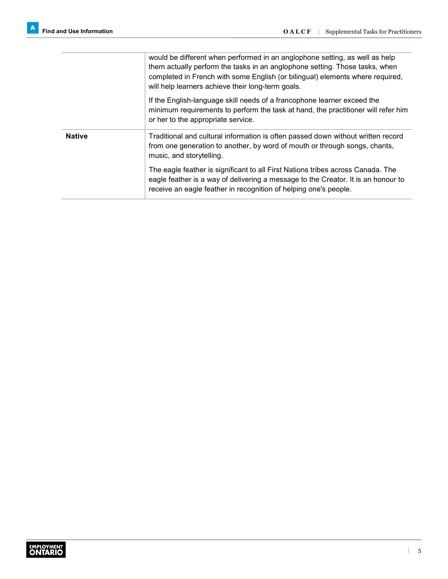|               | would be different when performed in an anglophone setting, as well as help<br>them actually perform the tasks in an anglophone setting. Those tasks, when<br>completed in French with some English (or bilingual) elements where required,<br>will help learners achieve their long-term goals. |
|---------------|--------------------------------------------------------------------------------------------------------------------------------------------------------------------------------------------------------------------------------------------------------------------------------------------------|
|               | If the English-language skill needs of a francophone learner exceed the<br>minimum requirements to perform the task at hand, the practitioner will refer him<br>or her to the appropriate service.                                                                                               |
| <b>Native</b> | Traditional and cultural information is often passed down without written record<br>from one generation to another, by word of mouth or through songs, chants,<br>music, and storytelling.                                                                                                       |
|               | The eagle feather is significant to all First Nations tribes across Canada. The<br>eagle feather is a way of delivering a message to the Creator. It is an honour to<br>receive an eagle feather in recognition of helping one's people.                                                         |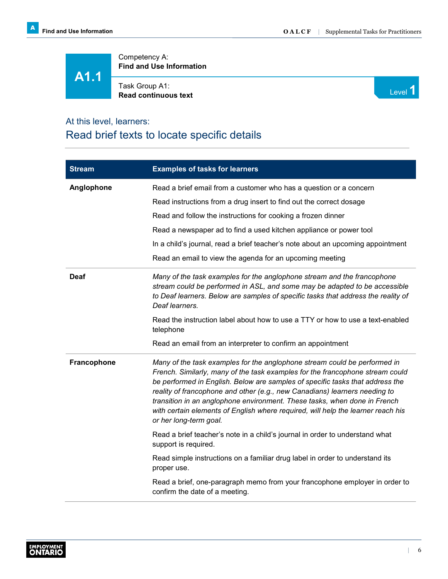**A1.1**

Competency A: **Find and Use Information**

Task Group A1: **Read continuous text** Level **1 Read continuous text** 



#### At this level, learners:

#### Read brief texts to locate specific details

| <b>Stream</b> | <b>Examples of tasks for learners</b>                                                                                                                                                                                                                                                                                                                                                                                                                                                                                |
|---------------|----------------------------------------------------------------------------------------------------------------------------------------------------------------------------------------------------------------------------------------------------------------------------------------------------------------------------------------------------------------------------------------------------------------------------------------------------------------------------------------------------------------------|
| Anglophone    | Read a brief email from a customer who has a question or a concern                                                                                                                                                                                                                                                                                                                                                                                                                                                   |
|               | Read instructions from a drug insert to find out the correct dosage                                                                                                                                                                                                                                                                                                                                                                                                                                                  |
|               | Read and follow the instructions for cooking a frozen dinner                                                                                                                                                                                                                                                                                                                                                                                                                                                         |
|               | Read a newspaper ad to find a used kitchen appliance or power tool                                                                                                                                                                                                                                                                                                                                                                                                                                                   |
|               | In a child's journal, read a brief teacher's note about an upcoming appointment                                                                                                                                                                                                                                                                                                                                                                                                                                      |
|               | Read an email to view the agenda for an upcoming meeting                                                                                                                                                                                                                                                                                                                                                                                                                                                             |
| Deaf          | Many of the task examples for the anglophone stream and the francophone<br>stream could be performed in ASL, and some may be adapted to be accessible<br>to Deaf learners. Below are samples of specific tasks that address the reality of<br>Deaf learners.                                                                                                                                                                                                                                                         |
|               | Read the instruction label about how to use a TTY or how to use a text-enabled<br>telephone                                                                                                                                                                                                                                                                                                                                                                                                                          |
|               | Read an email from an interpreter to confirm an appointment                                                                                                                                                                                                                                                                                                                                                                                                                                                          |
| Francophone   | Many of the task examples for the anglophone stream could be performed in<br>French. Similarly, many of the task examples for the francophone stream could<br>be performed in English. Below are samples of specific tasks that address the<br>reality of francophone and other (e.g., new Canadians) learners needing to<br>transition in an anglophone environment. These tasks, when done in French<br>with certain elements of English where required, will help the learner reach his<br>or her long-term goal. |
|               | Read a brief teacher's note in a child's journal in order to understand what<br>support is required.                                                                                                                                                                                                                                                                                                                                                                                                                 |
|               | Read simple instructions on a familiar drug label in order to understand its<br>proper use.                                                                                                                                                                                                                                                                                                                                                                                                                          |
|               | Read a brief, one-paragraph memo from your francophone employer in order to<br>confirm the date of a meeting.                                                                                                                                                                                                                                                                                                                                                                                                        |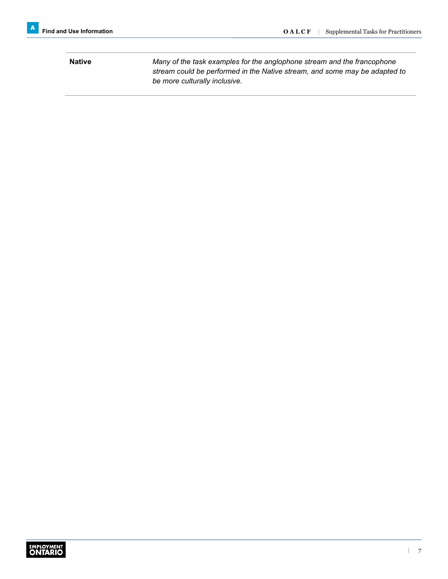**Native** *Many of the task examples for the anglophone stream and the francophone stream could be performed in the Native stream, and some may be adapted to be more culturally inclusive.*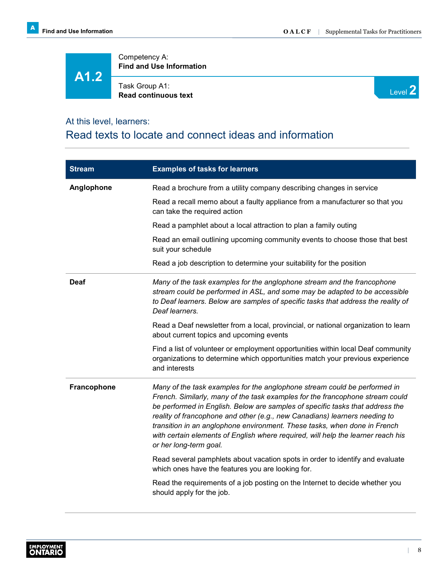## **A1.2**

Competency A: **Find and Use Information**

Task Group A1: **Read continuous text**



#### At this level, learners:

#### Read texts to locate and connect ideas and information

| <b>Stream</b>      | <b>Examples of tasks for learners</b>                                                                                                                                                                                                                                                                                                                                                                                                                                                                                |
|--------------------|----------------------------------------------------------------------------------------------------------------------------------------------------------------------------------------------------------------------------------------------------------------------------------------------------------------------------------------------------------------------------------------------------------------------------------------------------------------------------------------------------------------------|
| Anglophone         | Read a brochure from a utility company describing changes in service                                                                                                                                                                                                                                                                                                                                                                                                                                                 |
|                    | Read a recall memo about a faulty appliance from a manufacturer so that you<br>can take the required action                                                                                                                                                                                                                                                                                                                                                                                                          |
|                    | Read a pamphlet about a local attraction to plan a family outing                                                                                                                                                                                                                                                                                                                                                                                                                                                     |
|                    | Read an email outlining upcoming community events to choose those that best<br>suit your schedule                                                                                                                                                                                                                                                                                                                                                                                                                    |
|                    | Read a job description to determine your suitability for the position                                                                                                                                                                                                                                                                                                                                                                                                                                                |
| Deaf               | Many of the task examples for the anglophone stream and the francophone<br>stream could be performed in ASL, and some may be adapted to be accessible<br>to Deaf learners. Below are samples of specific tasks that address the reality of<br>Deaf learners.                                                                                                                                                                                                                                                         |
|                    | Read a Deaf newsletter from a local, provincial, or national organization to learn<br>about current topics and upcoming events                                                                                                                                                                                                                                                                                                                                                                                       |
|                    | Find a list of volunteer or employment opportunities within local Deaf community<br>organizations to determine which opportunities match your previous experience<br>and interests                                                                                                                                                                                                                                                                                                                                   |
| <b>Francophone</b> | Many of the task examples for the anglophone stream could be performed in<br>French. Similarly, many of the task examples for the francophone stream could<br>be performed in English. Below are samples of specific tasks that address the<br>reality of francophone and other (e.g., new Canadians) learners needing to<br>transition in an anglophone environment. These tasks, when done in French<br>with certain elements of English where required, will help the learner reach his<br>or her long-term goal. |
|                    | Read several pamphlets about vacation spots in order to identify and evaluate<br>which ones have the features you are looking for.                                                                                                                                                                                                                                                                                                                                                                                   |
|                    | Read the requirements of a job posting on the Internet to decide whether you<br>should apply for the job.                                                                                                                                                                                                                                                                                                                                                                                                            |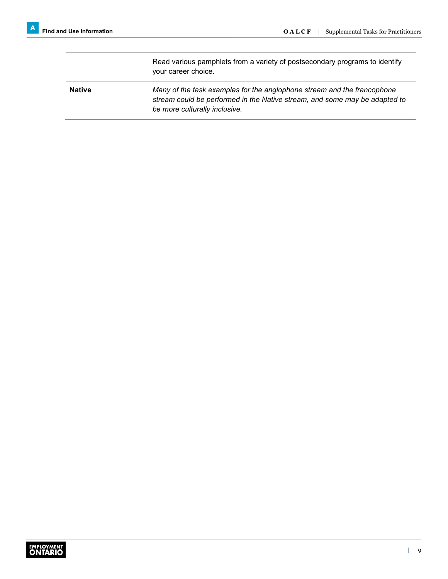Read various pamphlets from a variety of postsecondary programs to identify your career choice. **Native** *Many of the task examples for the anglophone stream and the francophone stream could be performed in the Native stream, and some may be adapted to be more culturally inclusive.*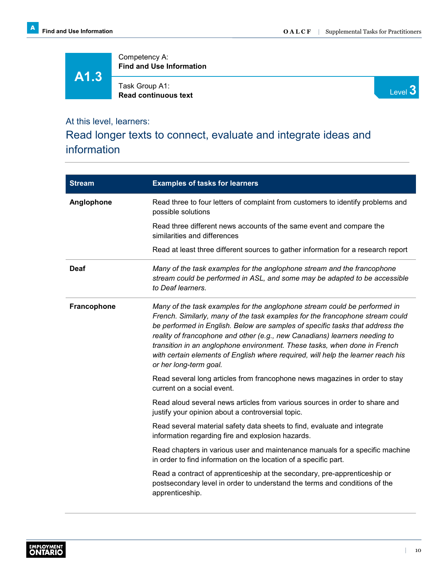Competency A: **Find and Use Information**

**A1.3**

Task Group A1: **Read continuous text**



## At this level, learners:

#### Read longer texts to connect, evaluate and integrate ideas and information

| <b>Stream</b> | <b>Examples of tasks for learners</b>                                                                                                                                                                                                                                                                                                                                                                                                                                                                                |
|---------------|----------------------------------------------------------------------------------------------------------------------------------------------------------------------------------------------------------------------------------------------------------------------------------------------------------------------------------------------------------------------------------------------------------------------------------------------------------------------------------------------------------------------|
| Anglophone    | Read three to four letters of complaint from customers to identify problems and<br>possible solutions                                                                                                                                                                                                                                                                                                                                                                                                                |
|               | Read three different news accounts of the same event and compare the<br>similarities and differences                                                                                                                                                                                                                                                                                                                                                                                                                 |
|               | Read at least three different sources to gather information for a research report                                                                                                                                                                                                                                                                                                                                                                                                                                    |
| <b>Deaf</b>   | Many of the task examples for the anglophone stream and the francophone<br>stream could be performed in ASL, and some may be adapted to be accessible<br>to Deaf learners.                                                                                                                                                                                                                                                                                                                                           |
| Francophone   | Many of the task examples for the anglophone stream could be performed in<br>French. Similarly, many of the task examples for the francophone stream could<br>be performed in English. Below are samples of specific tasks that address the<br>reality of francophone and other (e.g., new Canadians) learners needing to<br>transition in an anglophone environment. These tasks, when done in French<br>with certain elements of English where required, will help the learner reach his<br>or her long-term goal. |
|               | Read several long articles from francophone news magazines in order to stay<br>current on a social event.                                                                                                                                                                                                                                                                                                                                                                                                            |
|               | Read aloud several news articles from various sources in order to share and<br>justify your opinion about a controversial topic.                                                                                                                                                                                                                                                                                                                                                                                     |
|               | Read several material safety data sheets to find, evaluate and integrate<br>information regarding fire and explosion hazards.                                                                                                                                                                                                                                                                                                                                                                                        |
|               | Read chapters in various user and maintenance manuals for a specific machine<br>in order to find information on the location of a specific part.                                                                                                                                                                                                                                                                                                                                                                     |
|               | Read a contract of apprenticeship at the secondary, pre-apprenticeship or<br>postsecondary level in order to understand the terms and conditions of the<br>apprenticeship.                                                                                                                                                                                                                                                                                                                                           |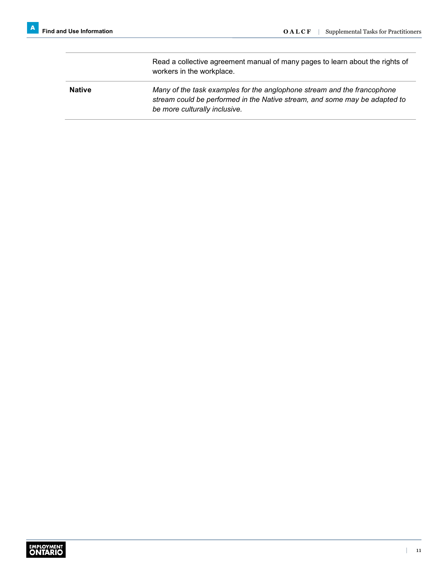Read a collective agreement manual of many pages to learn about the rights of workers in the workplace. **Native** *Many of the task examples for the anglophone stream and the francophone stream could be performed in the Native stream, and some may be adapted to be more culturally inclusive.*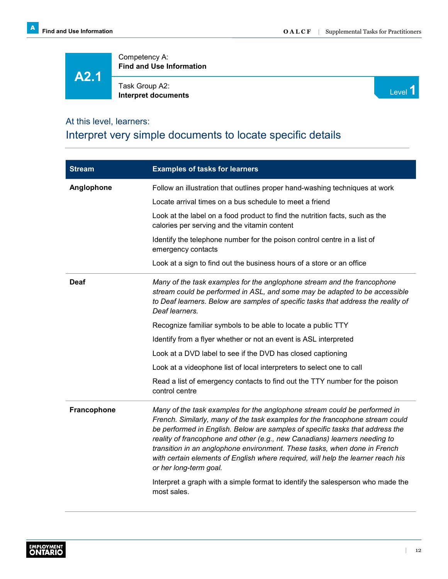**A2.1**

Competency A: **Find and Use Information**

Task Group A2: **I** ask Group A2: **Interpret documents** Level **1** 



#### At this level, learners:

#### Interpret very simple documents to locate specific details

| <b>Stream</b> | <b>Examples of tasks for learners</b>                                                                                                                                                                                                                                                                                                                                                                                                                                                                                                                                                                                  |
|---------------|------------------------------------------------------------------------------------------------------------------------------------------------------------------------------------------------------------------------------------------------------------------------------------------------------------------------------------------------------------------------------------------------------------------------------------------------------------------------------------------------------------------------------------------------------------------------------------------------------------------------|
| Anglophone    | Follow an illustration that outlines proper hand-washing techniques at work                                                                                                                                                                                                                                                                                                                                                                                                                                                                                                                                            |
|               | Locate arrival times on a bus schedule to meet a friend                                                                                                                                                                                                                                                                                                                                                                                                                                                                                                                                                                |
|               | Look at the label on a food product to find the nutrition facts, such as the<br>calories per serving and the vitamin content                                                                                                                                                                                                                                                                                                                                                                                                                                                                                           |
|               | Identify the telephone number for the poison control centre in a list of<br>emergency contacts                                                                                                                                                                                                                                                                                                                                                                                                                                                                                                                         |
|               | Look at a sign to find out the business hours of a store or an office                                                                                                                                                                                                                                                                                                                                                                                                                                                                                                                                                  |
| <b>Deaf</b>   | Many of the task examples for the anglophone stream and the francophone<br>stream could be performed in ASL, and some may be adapted to be accessible<br>to Deaf learners. Below are samples of specific tasks that address the reality of<br>Deaf learners.                                                                                                                                                                                                                                                                                                                                                           |
|               | Recognize familiar symbols to be able to locate a public TTY                                                                                                                                                                                                                                                                                                                                                                                                                                                                                                                                                           |
|               | Identify from a flyer whether or not an event is ASL interpreted                                                                                                                                                                                                                                                                                                                                                                                                                                                                                                                                                       |
|               | Look at a DVD label to see if the DVD has closed captioning                                                                                                                                                                                                                                                                                                                                                                                                                                                                                                                                                            |
|               | Look at a videophone list of local interpreters to select one to call                                                                                                                                                                                                                                                                                                                                                                                                                                                                                                                                                  |
|               | Read a list of emergency contacts to find out the TTY number for the poison<br>control centre                                                                                                                                                                                                                                                                                                                                                                                                                                                                                                                          |
| Francophone   | Many of the task examples for the anglophone stream could be performed in<br>French. Similarly, many of the task examples for the francophone stream could<br>be performed in English. Below are samples of specific tasks that address the<br>reality of francophone and other (e.g., new Canadians) learners needing to<br>transition in an anglophone environment. These tasks, when done in French<br>with certain elements of English where required, will help the learner reach his<br>or her long-term goal.<br>Interpret a graph with a simple format to identify the salesperson who made the<br>most sales. |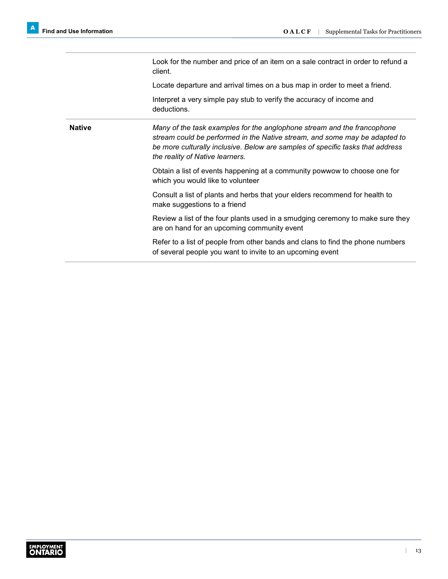Look for the number and price of an item on a sale contract in order to refund a client.

Locate departure and arrival times on a bus map in order to meet a friend.

Interpret a very simple pay stub to verify the accuracy of income and deductions.

**Native** *Many of the task examples for the anglophone stream and the francophone stream could be performed in the Native stream, and some may be adapted to be more culturally inclusive. Below are samples of specific tasks that address the reality of Native learners.*

> Obtain a list of events happening at a community powwow to choose one for which you would like to volunteer

Consult a list of plants and herbs that your elders recommend for health to make suggestions to a friend

Review a list of the four plants used in a smudging ceremony to make sure they are on hand for an upcoming community event

Refer to a list of people from other bands and clans to find the phone numbers of several people you want to invite to an upcoming event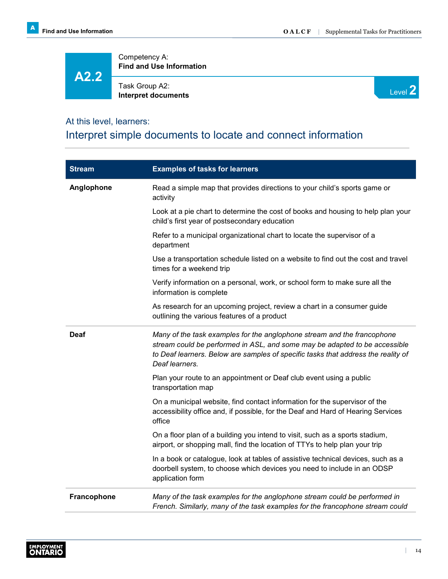## **A2.2**

Competency A: **Find and Use Information**

Task Group A2: **Interpret documents**



#### At this level, learners:

#### Interpret simple documents to locate and connect information

| <b>Stream</b> | <b>Examples of tasks for learners</b>                                                                                                                                                                                                                        |
|---------------|--------------------------------------------------------------------------------------------------------------------------------------------------------------------------------------------------------------------------------------------------------------|
| Anglophone    | Read a simple map that provides directions to your child's sports game or<br>activity                                                                                                                                                                        |
|               | Look at a pie chart to determine the cost of books and housing to help plan your<br>child's first year of postsecondary education                                                                                                                            |
|               | Refer to a municipal organizational chart to locate the supervisor of a<br>department                                                                                                                                                                        |
|               | Use a transportation schedule listed on a website to find out the cost and travel<br>times for a weekend trip                                                                                                                                                |
|               | Verify information on a personal, work, or school form to make sure all the<br>information is complete                                                                                                                                                       |
|               | As research for an upcoming project, review a chart in a consumer guide<br>outlining the various features of a product                                                                                                                                       |
| Deaf          | Many of the task examples for the anglophone stream and the francophone<br>stream could be performed in ASL, and some may be adapted to be accessible<br>to Deaf learners. Below are samples of specific tasks that address the reality of<br>Deaf learners. |
|               | Plan your route to an appointment or Deaf club event using a public<br>transportation map                                                                                                                                                                    |
|               | On a municipal website, find contact information for the supervisor of the<br>accessibility office and, if possible, for the Deaf and Hard of Hearing Services<br>office                                                                                     |
|               | On a floor plan of a building you intend to visit, such as a sports stadium,<br>airport, or shopping mall, find the location of TTYs to help plan your trip                                                                                                  |
|               | In a book or catalogue, look at tables of assistive technical devices, such as a<br>doorbell system, to choose which devices you need to include in an ODSP<br>application form                                                                              |
| Francophone   | Many of the task examples for the anglophone stream could be performed in<br>French. Similarly, many of the task examples for the francophone stream could                                                                                                   |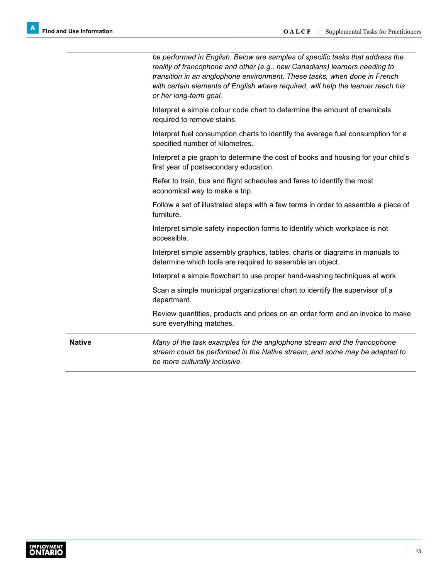|               | be performed in English. Below are samples of specific tasks that address the<br>reality of francophone and other (e.g., new Canadians) learners needing to<br>transition in an anglophone environment. These tasks, when done in French<br>with certain elements of English where required, will help the learner reach his<br>or her long-term goal. |
|---------------|--------------------------------------------------------------------------------------------------------------------------------------------------------------------------------------------------------------------------------------------------------------------------------------------------------------------------------------------------------|
|               | Interpret a simple colour code chart to determine the amount of chemicals<br>required to remove stains.                                                                                                                                                                                                                                                |
|               | Interpret fuel consumption charts to identify the average fuel consumption for a<br>specified number of kilometres.                                                                                                                                                                                                                                    |
|               | Interpret a pie graph to determine the cost of books and housing for your child's<br>first year of postsecondary education.                                                                                                                                                                                                                            |
|               | Refer to train, bus and flight schedules and fares to identify the most<br>economical way to make a trip.                                                                                                                                                                                                                                              |
|               | Follow a set of illustrated steps with a few terms in order to assemble a piece of<br>furniture.                                                                                                                                                                                                                                                       |
|               | Interpret simple safety inspection forms to identify which workplace is not<br>accessible.                                                                                                                                                                                                                                                             |
|               | Interpret simple assembly graphics, tables, charts or diagrams in manuals to<br>determine which tools are required to assemble an object.                                                                                                                                                                                                              |
|               | Interpret a simple flowchart to use proper hand-washing techniques at work.                                                                                                                                                                                                                                                                            |
|               | Scan a simple municipal organizational chart to identify the supervisor of a<br>department.                                                                                                                                                                                                                                                            |
|               | Review quantities, products and prices on an order form and an invoice to make<br>sure everything matches.                                                                                                                                                                                                                                             |
| <b>Native</b> | Many of the task examples for the anglophone stream and the francophone<br>stream could be performed in the Native stream, and some may be adapted to<br>be more culturally inclusive.                                                                                                                                                                 |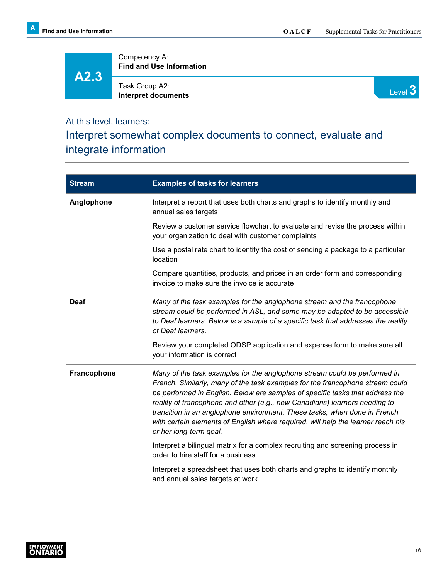Competency A: **Find and Use Information**

**A2.3**

Task Group A2: **Interpret documents**



#### At this level, learners:

Interpret somewhat complex documents to connect, evaluate and integrate information

| <b>Stream</b>      | <b>Examples of tasks for learners</b>                                                                                                                                                                                                                                                                                                                                                                                                                                                                                |
|--------------------|----------------------------------------------------------------------------------------------------------------------------------------------------------------------------------------------------------------------------------------------------------------------------------------------------------------------------------------------------------------------------------------------------------------------------------------------------------------------------------------------------------------------|
| Anglophone         | Interpret a report that uses both charts and graphs to identify monthly and<br>annual sales targets                                                                                                                                                                                                                                                                                                                                                                                                                  |
|                    | Review a customer service flowchart to evaluate and revise the process within<br>your organization to deal with customer complaints                                                                                                                                                                                                                                                                                                                                                                                  |
|                    | Use a postal rate chart to identify the cost of sending a package to a particular<br>location                                                                                                                                                                                                                                                                                                                                                                                                                        |
|                    | Compare quantities, products, and prices in an order form and corresponding<br>invoice to make sure the invoice is accurate                                                                                                                                                                                                                                                                                                                                                                                          |
| <b>Deaf</b>        | Many of the task examples for the anglophone stream and the francophone<br>stream could be performed in ASL, and some may be adapted to be accessible<br>to Deaf learners. Below is a sample of a specific task that addresses the reality<br>of Deaf learners.                                                                                                                                                                                                                                                      |
|                    | Review your completed ODSP application and expense form to make sure all<br>your information is correct                                                                                                                                                                                                                                                                                                                                                                                                              |
| <b>Francophone</b> | Many of the task examples for the anglophone stream could be performed in<br>French. Similarly, many of the task examples for the francophone stream could<br>be performed in English. Below are samples of specific tasks that address the<br>reality of francophone and other (e.g., new Canadians) learners needing to<br>transition in an anglophone environment. These tasks, when done in French<br>with certain elements of English where required, will help the learner reach his<br>or her long-term goal. |
|                    | Interpret a bilingual matrix for a complex recruiting and screening process in<br>order to hire staff for a business.                                                                                                                                                                                                                                                                                                                                                                                                |
|                    | Interpret a spreadsheet that uses both charts and graphs to identify monthly<br>and annual sales targets at work.                                                                                                                                                                                                                                                                                                                                                                                                    |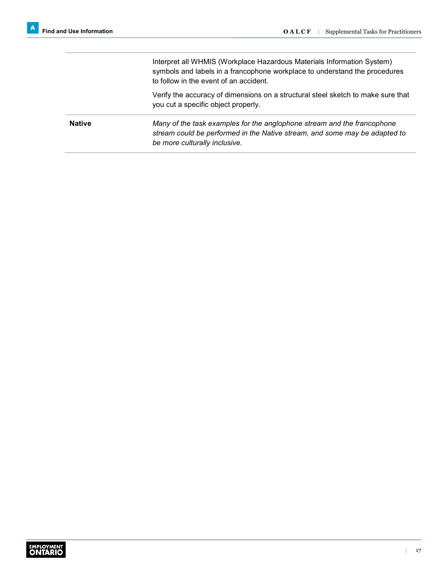Interpret all WHMIS (Workplace Hazardous Materials Information System) symbols and labels in a francophone workplace to understand the procedures to follow in the event of an accident.

Verify the accuracy of dimensions on a structural steel sketch to make sure that you cut a specific object properly.

**Native** *Many of the task examples for the anglophone stream and the francophone stream could be performed in the Native stream, and some may be adapted to be more culturally inclusive.*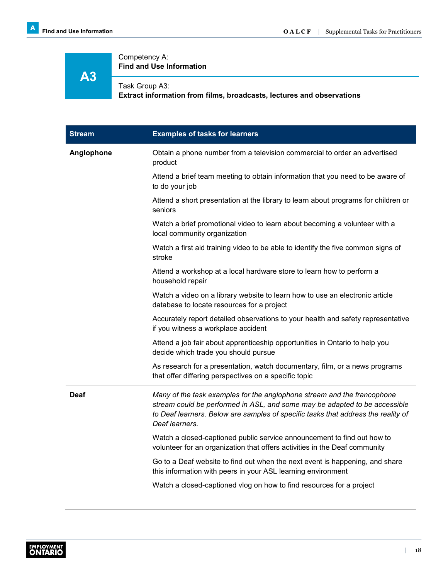#### Competency A: **Find and Use Information**

### **A3**

#### Task Group A3:

**Extract information from films, broadcasts, lectures and observations**

| <b>Stream</b> | <b>Examples of tasks for learners</b>                                                                                                                                                                                                                        |
|---------------|--------------------------------------------------------------------------------------------------------------------------------------------------------------------------------------------------------------------------------------------------------------|
| Anglophone    | Obtain a phone number from a television commercial to order an advertised<br>product                                                                                                                                                                         |
|               | Attend a brief team meeting to obtain information that you need to be aware of<br>to do your job                                                                                                                                                             |
|               | Attend a short presentation at the library to learn about programs for children or<br>seniors                                                                                                                                                                |
|               | Watch a brief promotional video to learn about becoming a volunteer with a<br>local community organization                                                                                                                                                   |
|               | Watch a first aid training video to be able to identify the five common signs of<br>stroke                                                                                                                                                                   |
|               | Attend a workshop at a local hardware store to learn how to perform a<br>household repair                                                                                                                                                                    |
|               | Watch a video on a library website to learn how to use an electronic article<br>database to locate resources for a project                                                                                                                                   |
|               | Accurately report detailed observations to your health and safety representative<br>if you witness a workplace accident                                                                                                                                      |
|               | Attend a job fair about apprenticeship opportunities in Ontario to help you<br>decide which trade you should pursue                                                                                                                                          |
|               | As research for a presentation, watch documentary, film, or a news programs<br>that offer differing perspectives on a specific topic                                                                                                                         |
| Deaf          | Many of the task examples for the anglophone stream and the francophone<br>stream could be performed in ASL, and some may be adapted to be accessible<br>to Deaf learners. Below are samples of specific tasks that address the reality of<br>Deaf learners. |
|               | Watch a closed-captioned public service announcement to find out how to<br>volunteer for an organization that offers activities in the Deaf community                                                                                                        |
|               | Go to a Deaf website to find out when the next event is happening, and share<br>this information with peers in your ASL learning environment                                                                                                                 |
|               | Watch a closed-captioned vlog on how to find resources for a project                                                                                                                                                                                         |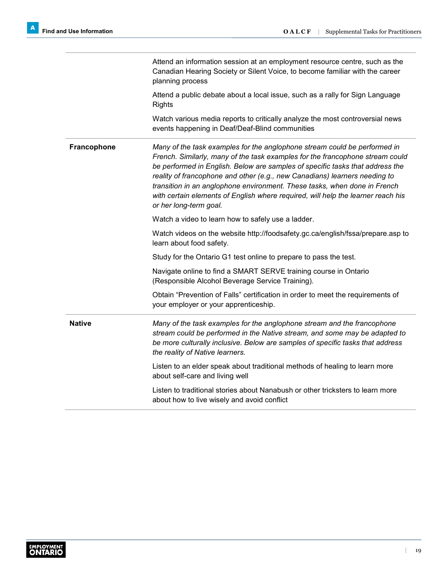|               | Attend an information session at an employment resource centre, such as the<br>Canadian Hearing Society or Silent Voice, to become familiar with the career<br>planning process                                                                                                                                                                                                                                                                                                                                      |
|---------------|----------------------------------------------------------------------------------------------------------------------------------------------------------------------------------------------------------------------------------------------------------------------------------------------------------------------------------------------------------------------------------------------------------------------------------------------------------------------------------------------------------------------|
|               | Attend a public debate about a local issue, such as a rally for Sign Language<br><b>Rights</b>                                                                                                                                                                                                                                                                                                                                                                                                                       |
|               | Watch various media reports to critically analyze the most controversial news<br>events happening in Deaf/Deaf-Blind communities                                                                                                                                                                                                                                                                                                                                                                                     |
| Francophone   | Many of the task examples for the anglophone stream could be performed in<br>French. Similarly, many of the task examples for the francophone stream could<br>be performed in English. Below are samples of specific tasks that address the<br>reality of francophone and other (e.g., new Canadians) learners needing to<br>transition in an anglophone environment. These tasks, when done in French<br>with certain elements of English where required, will help the learner reach his<br>or her long-term goal. |
|               | Watch a video to learn how to safely use a ladder.                                                                                                                                                                                                                                                                                                                                                                                                                                                                   |
|               | Watch videos on the website http://foodsafety.gc.ca/english/fssa/prepare.asp to<br>learn about food safety.                                                                                                                                                                                                                                                                                                                                                                                                          |
|               | Study for the Ontario G1 test online to prepare to pass the test.                                                                                                                                                                                                                                                                                                                                                                                                                                                    |
|               | Navigate online to find a SMART SERVE training course in Ontario<br>(Responsible Alcohol Beverage Service Training).                                                                                                                                                                                                                                                                                                                                                                                                 |
|               | Obtain "Prevention of Falls" certification in order to meet the requirements of<br>your employer or your apprenticeship.                                                                                                                                                                                                                                                                                                                                                                                             |
| <b>Native</b> | Many of the task examples for the anglophone stream and the francophone<br>stream could be performed in the Native stream, and some may be adapted to<br>be more culturally inclusive. Below are samples of specific tasks that address<br>the reality of Native learners.                                                                                                                                                                                                                                           |
|               | Listen to an elder speak about traditional methods of healing to learn more<br>about self-care and living well                                                                                                                                                                                                                                                                                                                                                                                                       |
|               | Listen to traditional stories about Nanabush or other tricksters to learn more<br>about how to live wisely and avoid conflict                                                                                                                                                                                                                                                                                                                                                                                        |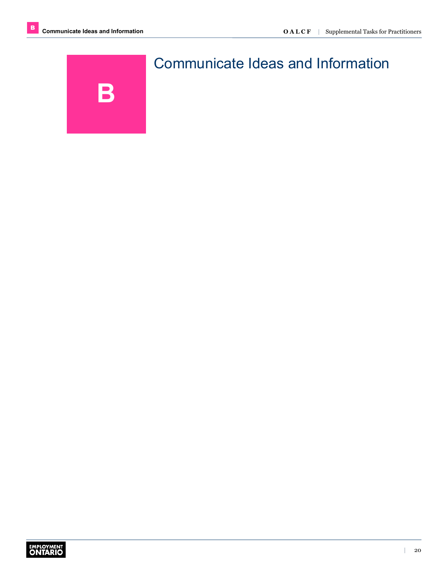<span id="page-21-0"></span>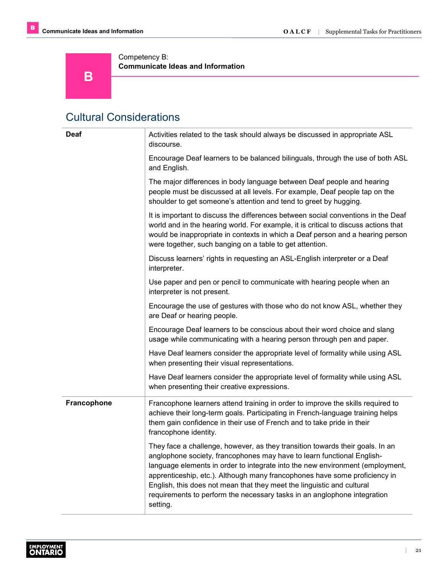**B** 

Competency B: **Communicate Ideas and Information**

#### <span id="page-22-0"></span>Cultural Considerations

| Deaf        | Activities related to the task should always be discussed in appropriate ASL<br>discourse.                                                                                                                                                                                                                                                                                                                                                                                               |
|-------------|------------------------------------------------------------------------------------------------------------------------------------------------------------------------------------------------------------------------------------------------------------------------------------------------------------------------------------------------------------------------------------------------------------------------------------------------------------------------------------------|
|             | Encourage Deaf learners to be balanced bilinguals, through the use of both ASL<br>and English.                                                                                                                                                                                                                                                                                                                                                                                           |
|             | The major differences in body language between Deaf people and hearing<br>people must be discussed at all levels. For example, Deaf people tap on the<br>shoulder to get someone's attention and tend to greet by hugging.                                                                                                                                                                                                                                                               |
|             | It is important to discuss the differences between social conventions in the Deaf<br>world and in the hearing world. For example, it is critical to discuss actions that<br>would be inappropriate in contexts in which a Deaf person and a hearing person<br>were together, such banging on a table to get attention.                                                                                                                                                                   |
|             | Discuss learners' rights in requesting an ASL-English interpreter or a Deaf<br>interpreter.                                                                                                                                                                                                                                                                                                                                                                                              |
|             | Use paper and pen or pencil to communicate with hearing people when an<br>interpreter is not present.                                                                                                                                                                                                                                                                                                                                                                                    |
|             | Encourage the use of gestures with those who do not know ASL, whether they<br>are Deaf or hearing people.                                                                                                                                                                                                                                                                                                                                                                                |
|             | Encourage Deaf learners to be conscious about their word choice and slang<br>usage while communicating with a hearing person through pen and paper.                                                                                                                                                                                                                                                                                                                                      |
|             | Have Deaf learners consider the appropriate level of formality while using ASL<br>when presenting their visual representations.                                                                                                                                                                                                                                                                                                                                                          |
|             | Have Deaf learners consider the appropriate level of formality while using ASL<br>when presenting their creative expressions.                                                                                                                                                                                                                                                                                                                                                            |
| Francophone | Francophone learners attend training in order to improve the skills required to<br>achieve their long-term goals. Participating in French-language training helps<br>them gain confidence in their use of French and to take pride in their<br>francophone identity.                                                                                                                                                                                                                     |
|             | They face a challenge, however, as they transition towards their goals. In an<br>anglophone society, francophones may have to learn functional English-<br>language elements in order to integrate into the new environment (employment,<br>apprenticeship, etc.). Although many francophones have some proficiency in<br>English, this does not mean that they meet the linguistic and cultural<br>requirements to perform the necessary tasks in an anglophone integration<br>setting. |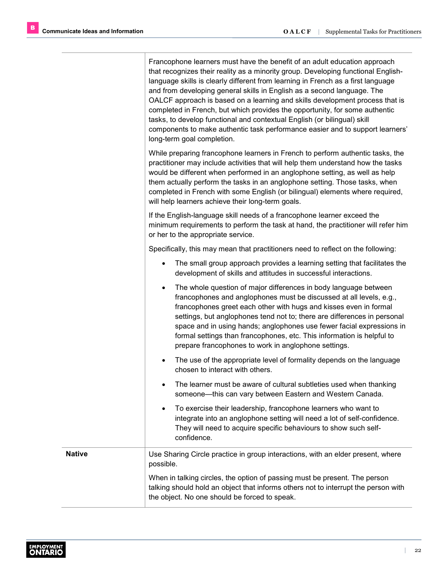T

|               | Francophone learners must have the benefit of an adult education approach<br>that recognizes their reality as a minority group. Developing functional English-<br>language skills is clearly different from learning in French as a first language<br>and from developing general skills in English as a second language. The<br>OALCF approach is based on a learning and skills development process that is<br>completed in French, but which provides the opportunity, for some authentic<br>tasks, to develop functional and contextual English (or bilingual) skill<br>components to make authentic task performance easier and to support learners'<br>long-term goal completion. |
|---------------|-----------------------------------------------------------------------------------------------------------------------------------------------------------------------------------------------------------------------------------------------------------------------------------------------------------------------------------------------------------------------------------------------------------------------------------------------------------------------------------------------------------------------------------------------------------------------------------------------------------------------------------------------------------------------------------------|
|               | While preparing francophone learners in French to perform authentic tasks, the<br>practitioner may include activities that will help them understand how the tasks<br>would be different when performed in an anglophone setting, as well as help<br>them actually perform the tasks in an anglophone setting. Those tasks, when<br>completed in French with some English (or bilingual) elements where required,<br>will help learners achieve their long-term goals.                                                                                                                                                                                                                  |
|               | If the English-language skill needs of a francophone learner exceed the<br>minimum requirements to perform the task at hand, the practitioner will refer him<br>or her to the appropriate service.                                                                                                                                                                                                                                                                                                                                                                                                                                                                                      |
|               | Specifically, this may mean that practitioners need to reflect on the following:                                                                                                                                                                                                                                                                                                                                                                                                                                                                                                                                                                                                        |
|               | The small group approach provides a learning setting that facilitates the<br>$\bullet$<br>development of skills and attitudes in successful interactions.                                                                                                                                                                                                                                                                                                                                                                                                                                                                                                                               |
|               | The whole question of major differences in body language between<br>$\bullet$<br>francophones and anglophones must be discussed at all levels, e.g.,<br>francophones greet each other with hugs and kisses even in formal<br>settings, but anglophones tend not to; there are differences in personal<br>space and in using hands; anglophones use fewer facial expressions in<br>formal settings than francophones, etc. This information is helpful to<br>prepare francophones to work in anglophone settings.                                                                                                                                                                        |
|               | The use of the appropriate level of formality depends on the language<br>$\bullet$<br>chosen to interact with others.                                                                                                                                                                                                                                                                                                                                                                                                                                                                                                                                                                   |
|               | The learner must be aware of cultural subtleties used when thanking<br>someone-this can vary between Eastern and Western Canada.                                                                                                                                                                                                                                                                                                                                                                                                                                                                                                                                                        |
|               | To exercise their leadership, francophone learners who want to<br>$\bullet$<br>integrate into an anglophone setting will need a lot of self-confidence.<br>They will need to acquire specific behaviours to show such self-<br>confidence.                                                                                                                                                                                                                                                                                                                                                                                                                                              |
| <b>Native</b> | Use Sharing Circle practice in group interactions, with an elder present, where<br>possible.                                                                                                                                                                                                                                                                                                                                                                                                                                                                                                                                                                                            |
|               | When in talking circles, the option of passing must be present. The person<br>talking should hold an object that informs others not to interrupt the person with<br>the object. No one should be forced to speak.                                                                                                                                                                                                                                                                                                                                                                                                                                                                       |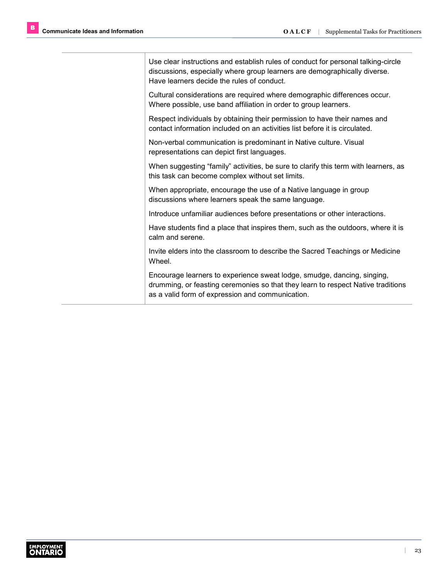Use clear instructions and establish rules of conduct for personal talking-circle discussions, especially where group learners are demographically diverse. Have learners decide the rules of conduct.

Cultural considerations are required where demographic differences occur. Where possible, use band affiliation in order to group learners.

Respect individuals by obtaining their permission to have their names and contact information included on an activities list before it is circulated.

Non-verbal communication is predominant in Native culture. Visual representations can depict first languages.

When suggesting "family" activities, be sure to clarify this term with learners, as this task can become complex without set limits.

When appropriate, encourage the use of a Native language in group discussions where learners speak the same language.

Introduce unfamiliar audiences before presentations or other interactions.

Have students find a place that inspires them, such as the outdoors, where it is calm and serene.

Invite elders into the classroom to describe the Sacred Teachings or Medicine Wheel.

Encourage learners to experience sweat lodge, smudge, dancing, singing, drumming, or feasting ceremonies so that they learn to respect Native traditions as a valid form of expression and communication.

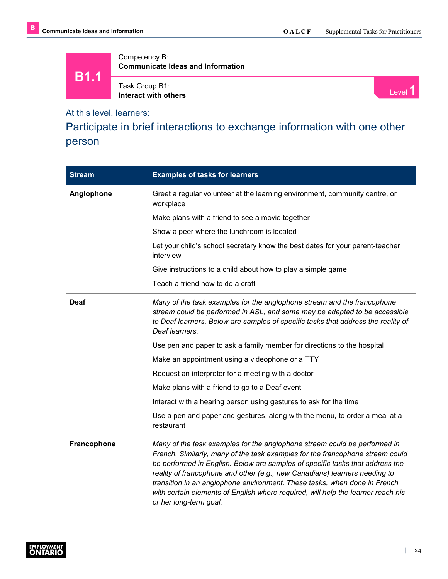**B1.1**

Competency B: **Communicate Ideas and Information**

Task Group B1: Task Group B1:<br>Interact with others **Interaction of the Contract With others** Level 1

At this level, learners:

Participate in brief interactions to exchange information with one other person

| <b>Stream</b>      | <b>Examples of tasks for learners</b>                                                                                                                                                                                                                                                                                                                                                                                                                                                                                |
|--------------------|----------------------------------------------------------------------------------------------------------------------------------------------------------------------------------------------------------------------------------------------------------------------------------------------------------------------------------------------------------------------------------------------------------------------------------------------------------------------------------------------------------------------|
| Anglophone         | Greet a regular volunteer at the learning environment, community centre, or<br>workplace                                                                                                                                                                                                                                                                                                                                                                                                                             |
|                    | Make plans with a friend to see a movie together                                                                                                                                                                                                                                                                                                                                                                                                                                                                     |
|                    | Show a peer where the lunchroom is located                                                                                                                                                                                                                                                                                                                                                                                                                                                                           |
|                    | Let your child's school secretary know the best dates for your parent-teacher<br>interview                                                                                                                                                                                                                                                                                                                                                                                                                           |
|                    | Give instructions to a child about how to play a simple game                                                                                                                                                                                                                                                                                                                                                                                                                                                         |
|                    | Teach a friend how to do a craft                                                                                                                                                                                                                                                                                                                                                                                                                                                                                     |
| Deaf               | Many of the task examples for the anglophone stream and the francophone<br>stream could be performed in ASL, and some may be adapted to be accessible<br>to Deaf learners. Below are samples of specific tasks that address the reality of<br>Deaf learners.                                                                                                                                                                                                                                                         |
|                    | Use pen and paper to ask a family member for directions to the hospital                                                                                                                                                                                                                                                                                                                                                                                                                                              |
|                    | Make an appointment using a videophone or a TTY                                                                                                                                                                                                                                                                                                                                                                                                                                                                      |
|                    | Request an interpreter for a meeting with a doctor                                                                                                                                                                                                                                                                                                                                                                                                                                                                   |
|                    | Make plans with a friend to go to a Deaf event                                                                                                                                                                                                                                                                                                                                                                                                                                                                       |
|                    | Interact with a hearing person using gestures to ask for the time                                                                                                                                                                                                                                                                                                                                                                                                                                                    |
|                    | Use a pen and paper and gestures, along with the menu, to order a meal at a<br>restaurant                                                                                                                                                                                                                                                                                                                                                                                                                            |
| <b>Francophone</b> | Many of the task examples for the anglophone stream could be performed in<br>French. Similarly, many of the task examples for the francophone stream could<br>be performed in English. Below are samples of specific tasks that address the<br>reality of francophone and other (e.g., new Canadians) learners needing to<br>transition in an anglophone environment. These tasks, when done in French<br>with certain elements of English where required, will help the learner reach his<br>or her long-term goal. |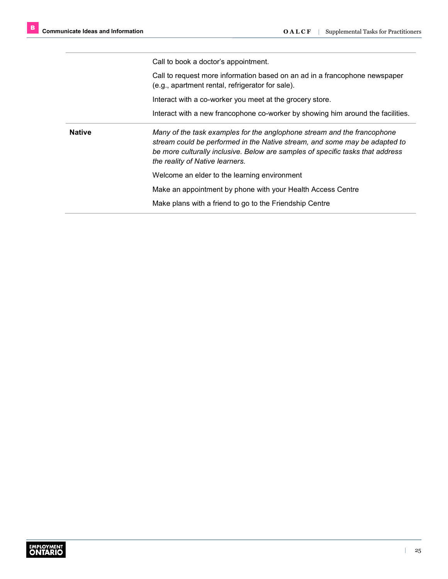Call to book a doctor's appointment.

Call to request more information based on an ad in a francophone newspaper (e.g., apartment rental, refrigerator for sale).

Interact with a co-worker you meet at the grocery store.

Interact with a new francophone co-worker by showing him around the facilities.

**Native** *Many of the task examples for the anglophone stream and the francophone stream could be performed in the Native stream, and some may be adapted to be more culturally inclusive. Below are samples of specific tasks that address the reality of Native learners.*

Welcome an elder to the learning environment

Make an appointment by phone with your Health Access Centre

Make plans with a friend to go to the Friendship Centre

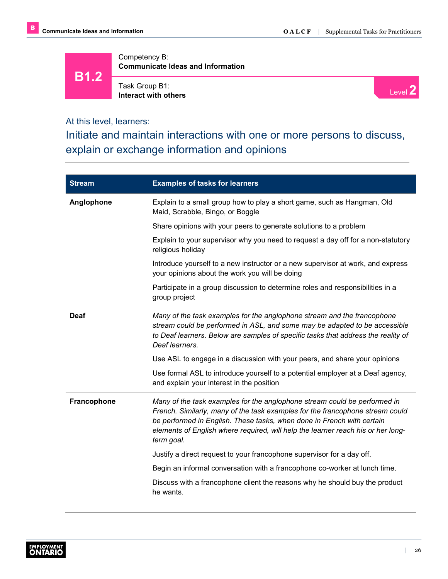**B1.2**

Competency B: **Communicate Ideas and Information**

Task Group B1: **Interact with others**



At this level, learners:

Initiate and maintain interactions with one or more persons to discuss, explain or exchange information and opinions

| <b>Stream</b>      | <b>Examples of tasks for learners</b>                                                                                                                                                                                                                                                                                                  |
|--------------------|----------------------------------------------------------------------------------------------------------------------------------------------------------------------------------------------------------------------------------------------------------------------------------------------------------------------------------------|
| Anglophone         | Explain to a small group how to play a short game, such as Hangman, Old<br>Maid, Scrabble, Bingo, or Boggle                                                                                                                                                                                                                            |
|                    | Share opinions with your peers to generate solutions to a problem                                                                                                                                                                                                                                                                      |
|                    | Explain to your supervisor why you need to request a day off for a non-statutory<br>religious holiday                                                                                                                                                                                                                                  |
|                    | Introduce yourself to a new instructor or a new supervisor at work, and express<br>your opinions about the work you will be doing                                                                                                                                                                                                      |
|                    | Participate in a group discussion to determine roles and responsibilities in a<br>group project                                                                                                                                                                                                                                        |
| <b>Deaf</b>        | Many of the task examples for the anglophone stream and the francophone<br>stream could be performed in ASL, and some may be adapted to be accessible<br>to Deaf learners. Below are samples of specific tasks that address the reality of<br>Deaf learners.                                                                           |
|                    | Use ASL to engage in a discussion with your peers, and share your opinions                                                                                                                                                                                                                                                             |
|                    | Use formal ASL to introduce yourself to a potential employer at a Deaf agency,<br>and explain your interest in the position                                                                                                                                                                                                            |
| <b>Francophone</b> | Many of the task examples for the anglophone stream could be performed in<br>French. Similarly, many of the task examples for the francophone stream could<br>be performed in English. These tasks, when done in French with certain<br>elements of English where required, will help the learner reach his or her long-<br>term goal. |
|                    | Justify a direct request to your francophone supervisor for a day off.                                                                                                                                                                                                                                                                 |
|                    | Begin an informal conversation with a francophone co-worker at lunch time.                                                                                                                                                                                                                                                             |
|                    | Discuss with a francophone client the reasons why he should buy the product<br>he wants.                                                                                                                                                                                                                                               |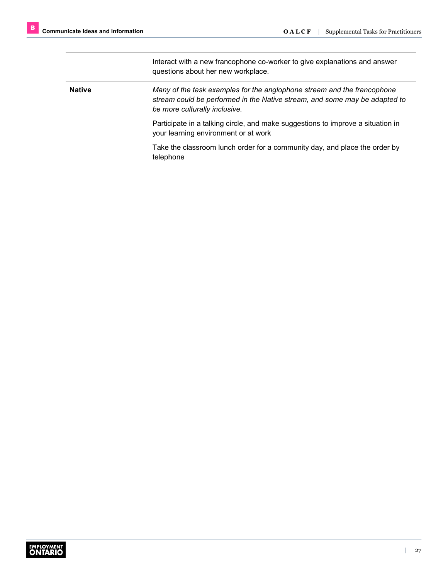Interact with a new francophone co-worker to give explanations and answer questions about her new workplace. **Native** *Many of the task examples for the anglophone stream and the francophone stream could be performed in the Native stream, and some may be adapted to be more culturally inclusive.* Participate in a talking circle, and make suggestions to improve a situation in your learning environment or at work Take the classroom lunch order for a community day, and place the order by telephone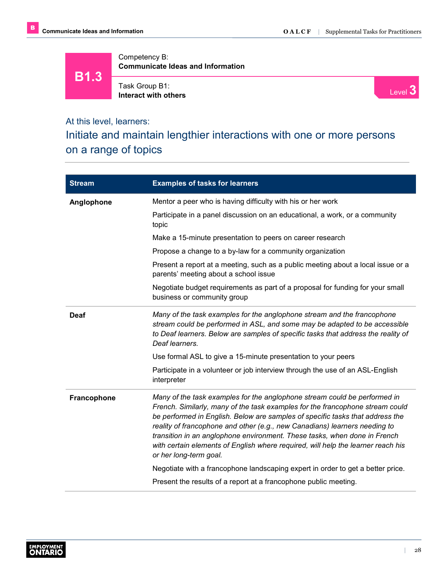**B1.3**

Competency B: **Communicate Ideas and Information**

Task Group B1: **Interact with others**



#### At this level, learners:

Initiate and maintain lengthier interactions with one or more persons on a range of topics

| <b>Stream</b> | <b>Examples of tasks for learners</b>                                                                                                                                                                                                                                                                                                                                                                                                                                                                                |
|---------------|----------------------------------------------------------------------------------------------------------------------------------------------------------------------------------------------------------------------------------------------------------------------------------------------------------------------------------------------------------------------------------------------------------------------------------------------------------------------------------------------------------------------|
| Anglophone    | Mentor a peer who is having difficulty with his or her work                                                                                                                                                                                                                                                                                                                                                                                                                                                          |
|               | Participate in a panel discussion on an educational, a work, or a community<br>topic                                                                                                                                                                                                                                                                                                                                                                                                                                 |
|               | Make a 15-minute presentation to peers on career research                                                                                                                                                                                                                                                                                                                                                                                                                                                            |
|               | Propose a change to a by-law for a community organization                                                                                                                                                                                                                                                                                                                                                                                                                                                            |
|               | Present a report at a meeting, such as a public meeting about a local issue or a<br>parents' meeting about a school issue                                                                                                                                                                                                                                                                                                                                                                                            |
|               | Negotiate budget requirements as part of a proposal for funding for your small<br>business or community group                                                                                                                                                                                                                                                                                                                                                                                                        |
| Deaf          | Many of the task examples for the anglophone stream and the francophone<br>stream could be performed in ASL, and some may be adapted to be accessible<br>to Deaf learners. Below are samples of specific tasks that address the reality of<br>Deaf learners.                                                                                                                                                                                                                                                         |
|               | Use formal ASL to give a 15-minute presentation to your peers                                                                                                                                                                                                                                                                                                                                                                                                                                                        |
|               | Participate in a volunteer or job interview through the use of an ASL-English<br>interpreter                                                                                                                                                                                                                                                                                                                                                                                                                         |
| Francophone   | Many of the task examples for the anglophone stream could be performed in<br>French. Similarly, many of the task examples for the francophone stream could<br>be performed in English. Below are samples of specific tasks that address the<br>reality of francophone and other (e.g., new Canadians) learners needing to<br>transition in an anglophone environment. These tasks, when done in French<br>with certain elements of English where required, will help the learner reach his<br>or her long-term goal. |
|               | Negotiate with a francophone landscaping expert in order to get a better price.                                                                                                                                                                                                                                                                                                                                                                                                                                      |
|               | Present the results of a report at a francophone public meeting.                                                                                                                                                                                                                                                                                                                                                                                                                                                     |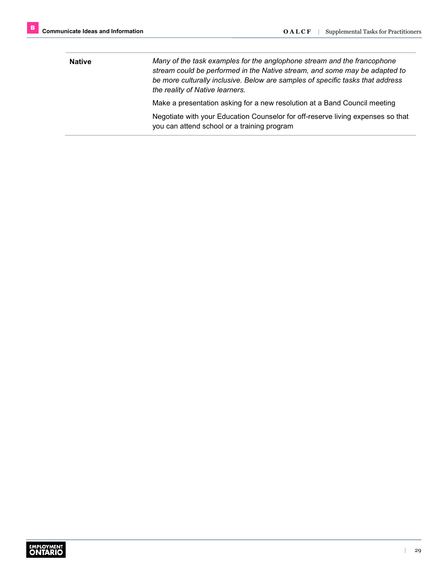**Native** *Many of the task examples for the anglophone stream and the francophone stream could be performed in the Native stream, and some may be adapted to be more culturally inclusive. Below are samples of specific tasks that address the reality of Native learners.* Make a presentation asking for a new resolution at a Band Council meeting Negotiate with your Education Counselor for off-reserve living expenses so that you can attend school or a training program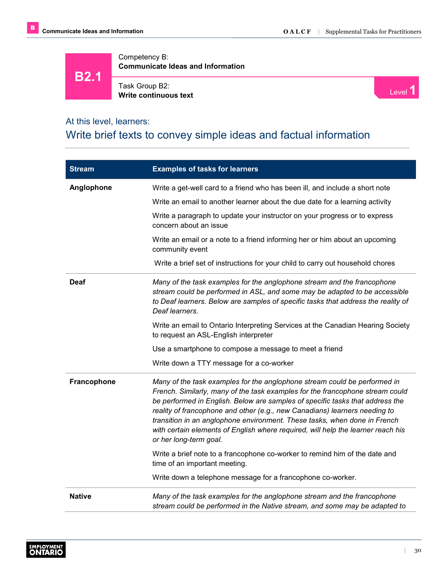**B2.1**

Competency B: **Communicate Ideas and Information**

Task Group B2: Task Group B2:<br> **Write continuous text** Level 1



#### At this level, learners:

#### Write brief texts to convey simple ideas and factual information

| <b>Stream</b> | <b>Examples of tasks for learners</b>                                                                                                                                                                                                                                                                                                                                                                                                                                                                                |
|---------------|----------------------------------------------------------------------------------------------------------------------------------------------------------------------------------------------------------------------------------------------------------------------------------------------------------------------------------------------------------------------------------------------------------------------------------------------------------------------------------------------------------------------|
| Anglophone    | Write a get-well card to a friend who has been ill, and include a short note                                                                                                                                                                                                                                                                                                                                                                                                                                         |
|               | Write an email to another learner about the due date for a learning activity                                                                                                                                                                                                                                                                                                                                                                                                                                         |
|               | Write a paragraph to update your instructor on your progress or to express<br>concern about an issue                                                                                                                                                                                                                                                                                                                                                                                                                 |
|               | Write an email or a note to a friend informing her or him about an upcoming<br>community event                                                                                                                                                                                                                                                                                                                                                                                                                       |
|               | Write a brief set of instructions for your child to carry out household chores                                                                                                                                                                                                                                                                                                                                                                                                                                       |
| <b>Deaf</b>   | Many of the task examples for the anglophone stream and the francophone<br>stream could be performed in ASL, and some may be adapted to be accessible<br>to Deaf learners. Below are samples of specific tasks that address the reality of<br>Deaf learners.                                                                                                                                                                                                                                                         |
|               | Write an email to Ontario Interpreting Services at the Canadian Hearing Society<br>to request an ASL-English interpreter                                                                                                                                                                                                                                                                                                                                                                                             |
|               | Use a smartphone to compose a message to meet a friend                                                                                                                                                                                                                                                                                                                                                                                                                                                               |
|               | Write down a TTY message for a co-worker                                                                                                                                                                                                                                                                                                                                                                                                                                                                             |
| Francophone   | Many of the task examples for the anglophone stream could be performed in<br>French. Similarly, many of the task examples for the francophone stream could<br>be performed in English. Below are samples of specific tasks that address the<br>reality of francophone and other (e.g., new Canadians) learners needing to<br>transition in an anglophone environment. These tasks, when done in French<br>with certain elements of English where required, will help the learner reach his<br>or her long-term goal. |
|               | Write a brief note to a francophone co-worker to remind him of the date and<br>time of an important meeting.                                                                                                                                                                                                                                                                                                                                                                                                         |
|               | Write down a telephone message for a francophone co-worker.                                                                                                                                                                                                                                                                                                                                                                                                                                                          |
| <b>Native</b> | Many of the task examples for the anglophone stream and the francophone<br>stream could be performed in the Native stream, and some may be adapted to                                                                                                                                                                                                                                                                                                                                                                |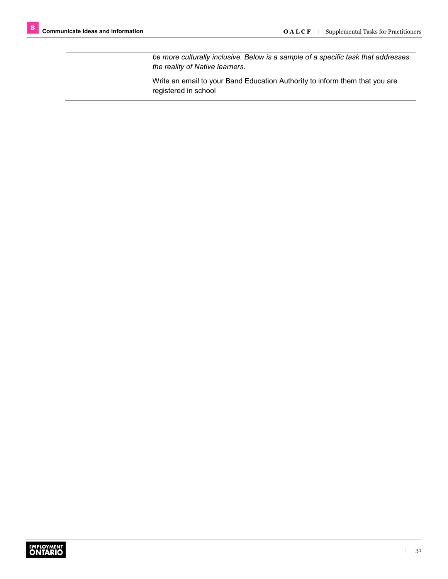*be more culturally inclusive. Below is a sample of a specific task that addresses the reality of Native learners.*

Write an email to your Band Education Authority to inform them that you are registered in school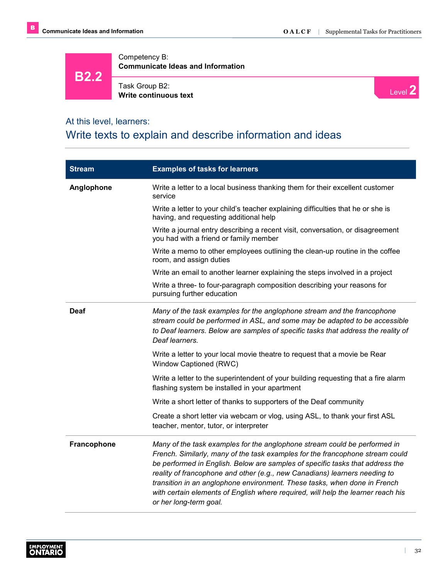**B2.2**

Competency B: **Communicate Ideas and Information**



Level **2**

#### At this level, learners:

#### Write texts to explain and describe information and ideas

| <b>Stream</b> | <b>Examples of tasks for learners</b>                                                                                                                                                                                                                                                                                                                                                                                                                                                                                |
|---------------|----------------------------------------------------------------------------------------------------------------------------------------------------------------------------------------------------------------------------------------------------------------------------------------------------------------------------------------------------------------------------------------------------------------------------------------------------------------------------------------------------------------------|
| Anglophone    | Write a letter to a local business thanking them for their excellent customer<br>service                                                                                                                                                                                                                                                                                                                                                                                                                             |
|               | Write a letter to your child's teacher explaining difficulties that he or she is<br>having, and requesting additional help                                                                                                                                                                                                                                                                                                                                                                                           |
|               | Write a journal entry describing a recent visit, conversation, or disagreement<br>you had with a friend or family member                                                                                                                                                                                                                                                                                                                                                                                             |
|               | Write a memo to other employees outlining the clean-up routine in the coffee<br>room, and assign duties                                                                                                                                                                                                                                                                                                                                                                                                              |
|               | Write an email to another learner explaining the steps involved in a project                                                                                                                                                                                                                                                                                                                                                                                                                                         |
|               | Write a three- to four-paragraph composition describing your reasons for<br>pursuing further education                                                                                                                                                                                                                                                                                                                                                                                                               |
| Deaf          | Many of the task examples for the anglophone stream and the francophone<br>stream could be performed in ASL, and some may be adapted to be accessible<br>to Deaf learners. Below are samples of specific tasks that address the reality of<br>Deaf learners.                                                                                                                                                                                                                                                         |
|               | Write a letter to your local movie theatre to request that a movie be Rear<br>Window Captioned (RWC)                                                                                                                                                                                                                                                                                                                                                                                                                 |
|               | Write a letter to the superintendent of your building requesting that a fire alarm<br>flashing system be installed in your apartment                                                                                                                                                                                                                                                                                                                                                                                 |
|               | Write a short letter of thanks to supporters of the Deaf community                                                                                                                                                                                                                                                                                                                                                                                                                                                   |
|               | Create a short letter via webcam or vlog, using ASL, to thank your first ASL<br>teacher, mentor, tutor, or interpreter                                                                                                                                                                                                                                                                                                                                                                                               |
| Francophone   | Many of the task examples for the anglophone stream could be performed in<br>French. Similarly, many of the task examples for the francophone stream could<br>be performed in English. Below are samples of specific tasks that address the<br>reality of francophone and other (e.g., new Canadians) learners needing to<br>transition in an anglophone environment. These tasks, when done in French<br>with certain elements of English where required, will help the learner reach his<br>or her long-term goal. |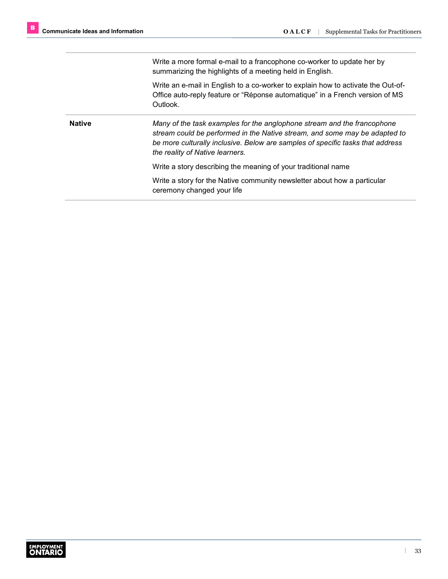Write a more formal e-mail to a francophone co-worker to update her by summarizing the highlights of a meeting held in English.

Write an e-mail in English to a co-worker to explain how to activate the Out-of-Office auto-reply feature or "Réponse automatique" in a French version of MS Outlook.

**Native** *Many of the task examples for the anglophone stream and the francophone stream could be performed in the Native stream, and some may be adapted to be more culturally inclusive. Below are samples of specific tasks that address the reality of Native learners.*

Write a story describing the meaning of your traditional name

Write a story for the Native community newsletter about how a particular ceremony changed your life

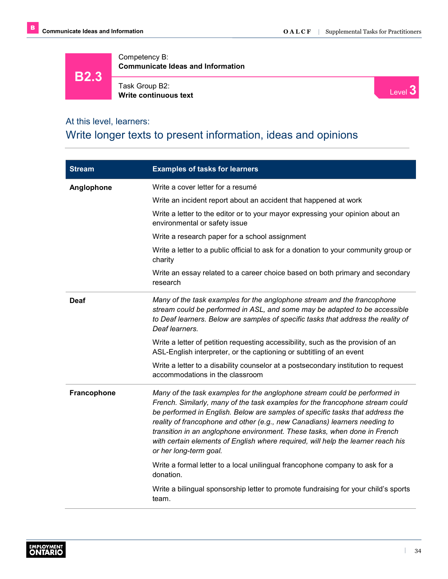**B2.3**

Competency B: **Communicate Ideas and Information**

Task Group B2: **Write continuous text**



#### At this level, learners:

### Write longer texts to present information, ideas and opinions

| <b>Stream</b> | <b>Examples of tasks for learners</b>                                                                                                                                                                                                                                                                                                                                                                                                                                                                                |
|---------------|----------------------------------------------------------------------------------------------------------------------------------------------------------------------------------------------------------------------------------------------------------------------------------------------------------------------------------------------------------------------------------------------------------------------------------------------------------------------------------------------------------------------|
| Anglophone    | Write a cover letter for a resumé                                                                                                                                                                                                                                                                                                                                                                                                                                                                                    |
|               | Write an incident report about an accident that happened at work                                                                                                                                                                                                                                                                                                                                                                                                                                                     |
|               | Write a letter to the editor or to your mayor expressing your opinion about an<br>environmental or safety issue                                                                                                                                                                                                                                                                                                                                                                                                      |
|               | Write a research paper for a school assignment                                                                                                                                                                                                                                                                                                                                                                                                                                                                       |
|               | Write a letter to a public official to ask for a donation to your community group or<br>charity                                                                                                                                                                                                                                                                                                                                                                                                                      |
|               | Write an essay related to a career choice based on both primary and secondary<br>research                                                                                                                                                                                                                                                                                                                                                                                                                            |
| <b>Deaf</b>   | Many of the task examples for the anglophone stream and the francophone<br>stream could be performed in ASL, and some may be adapted to be accessible<br>to Deaf learners. Below are samples of specific tasks that address the reality of<br>Deaf learners.                                                                                                                                                                                                                                                         |
|               | Write a letter of petition requesting accessibility, such as the provision of an<br>ASL-English interpreter, or the captioning or subtitling of an event                                                                                                                                                                                                                                                                                                                                                             |
|               | Write a letter to a disability counselor at a postsecondary institution to request<br>accommodations in the classroom                                                                                                                                                                                                                                                                                                                                                                                                |
| Francophone   | Many of the task examples for the anglophone stream could be performed in<br>French. Similarly, many of the task examples for the francophone stream could<br>be performed in English. Below are samples of specific tasks that address the<br>reality of francophone and other (e.g., new Canadians) learners needing to<br>transition in an anglophone environment. These tasks, when done in French<br>with certain elements of English where required, will help the learner reach his<br>or her long-term goal. |
|               | Write a formal letter to a local unilingual francophone company to ask for a<br>donation.                                                                                                                                                                                                                                                                                                                                                                                                                            |
|               | Write a bilingual sponsorship letter to promote fundraising for your child's sports<br>team.                                                                                                                                                                                                                                                                                                                                                                                                                         |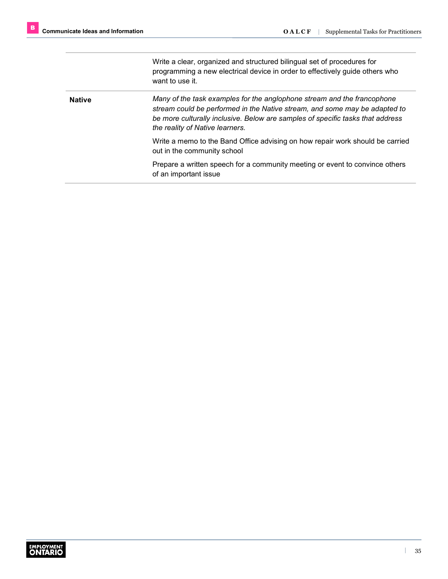Write a clear, organized and structured bilingual set of procedures for programming a new electrical device in order to effectively guide others who want to use it.

**Native** *Many of the task examples for the anglophone stream and the francophone stream could be performed in the Native stream, and some may be adapted to be more culturally inclusive. Below are samples of specific tasks that address the reality of Native learners.*

> Write a memo to the Band Office advising on how repair work should be carried out in the community school

Prepare a written speech for a community meeting or event to convince others of an important issue

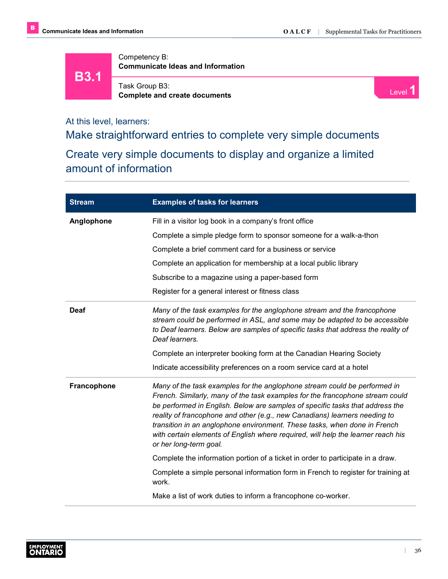**B3.1**

Competency B: **Communicate Ideas and Information**



Task Group B3: **Complete and create documents** Level **1 Complete and create documents** Level **1** 

At this level, learners:

Make straightforward entries to complete very simple documents

Create very simple documents to display and organize a limited amount of information

| <b>Stream</b> | <b>Examples of tasks for learners</b>                                                                                                                                                                                                                                                                                                                                                                                                                                                                                |
|---------------|----------------------------------------------------------------------------------------------------------------------------------------------------------------------------------------------------------------------------------------------------------------------------------------------------------------------------------------------------------------------------------------------------------------------------------------------------------------------------------------------------------------------|
| Anglophone    | Fill in a visitor log book in a company's front office                                                                                                                                                                                                                                                                                                                                                                                                                                                               |
|               | Complete a simple pledge form to sponsor someone for a walk-a-thon                                                                                                                                                                                                                                                                                                                                                                                                                                                   |
|               | Complete a brief comment card for a business or service                                                                                                                                                                                                                                                                                                                                                                                                                                                              |
|               | Complete an application for membership at a local public library                                                                                                                                                                                                                                                                                                                                                                                                                                                     |
|               | Subscribe to a magazine using a paper-based form                                                                                                                                                                                                                                                                                                                                                                                                                                                                     |
|               | Register for a general interest or fitness class                                                                                                                                                                                                                                                                                                                                                                                                                                                                     |
| <b>Deaf</b>   | Many of the task examples for the anglophone stream and the francophone<br>stream could be performed in ASL, and some may be adapted to be accessible<br>to Deaf learners. Below are samples of specific tasks that address the reality of<br>Deaf learners.                                                                                                                                                                                                                                                         |
|               | Complete an interpreter booking form at the Canadian Hearing Society                                                                                                                                                                                                                                                                                                                                                                                                                                                 |
|               | Indicate accessibility preferences on a room service card at a hotel                                                                                                                                                                                                                                                                                                                                                                                                                                                 |
| Francophone   | Many of the task examples for the anglophone stream could be performed in<br>French. Similarly, many of the task examples for the francophone stream could<br>be performed in English. Below are samples of specific tasks that address the<br>reality of francophone and other (e.g., new Canadians) learners needing to<br>transition in an anglophone environment. These tasks, when done in French<br>with certain elements of English where required, will help the learner reach his<br>or her long-term goal. |
|               | Complete the information portion of a ticket in order to participate in a draw.                                                                                                                                                                                                                                                                                                                                                                                                                                      |
|               | Complete a simple personal information form in French to register for training at<br>work.                                                                                                                                                                                                                                                                                                                                                                                                                           |
|               | Make a list of work duties to inform a francophone co-worker.                                                                                                                                                                                                                                                                                                                                                                                                                                                        |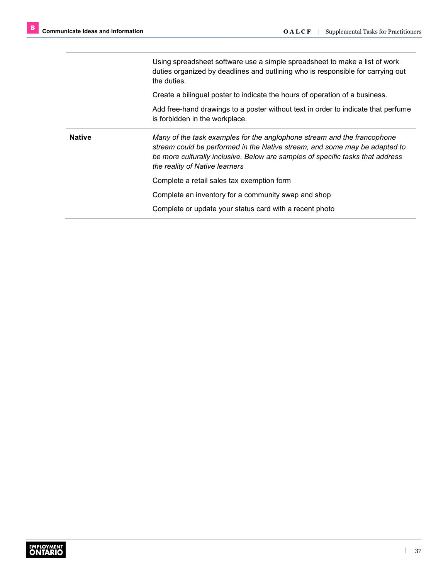Using spreadsheet software use a simple spreadsheet to make a list of work duties organized by deadlines and outlining who is responsible for carrying out the duties.

Create a bilingual poster to indicate the hours of operation of a business.

Add free-hand drawings to a poster without text in order to indicate that perfume is forbidden in the workplace.

**Native** *Many of the task examples for the anglophone stream and the francophone stream could be performed in the Native stream, and some may be adapted to be more culturally inclusive. Below are samples of specific tasks that address the reality of Native learners*

Complete a retail sales tax exemption form

Complete an inventory for a community swap and shop

Complete or update your status card with a recent photo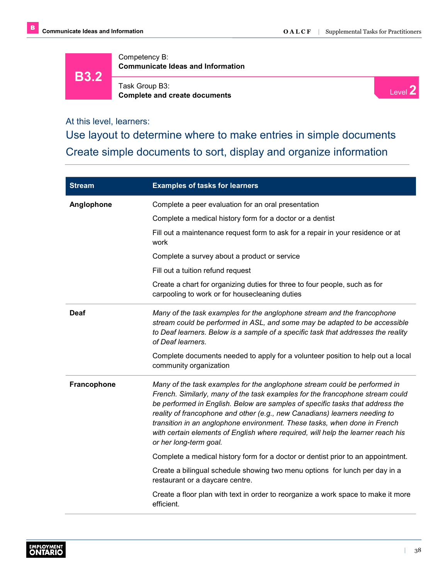**B3.2**

Competency B: **Communicate Ideas and Information**

Task Group B3: **Complete and create documents**



At this level, learners:

Use layout to determine where to make entries in simple documents Create simple documents to sort, display and organize information

| <b>Stream</b> | <b>Examples of tasks for learners</b>                                                                                                                                                                                                                                                                                                                                                                                                                                                                                |
|---------------|----------------------------------------------------------------------------------------------------------------------------------------------------------------------------------------------------------------------------------------------------------------------------------------------------------------------------------------------------------------------------------------------------------------------------------------------------------------------------------------------------------------------|
| Anglophone    | Complete a peer evaluation for an oral presentation                                                                                                                                                                                                                                                                                                                                                                                                                                                                  |
|               | Complete a medical history form for a doctor or a dentist                                                                                                                                                                                                                                                                                                                                                                                                                                                            |
|               | Fill out a maintenance request form to ask for a repair in your residence or at<br>work                                                                                                                                                                                                                                                                                                                                                                                                                              |
|               | Complete a survey about a product or service                                                                                                                                                                                                                                                                                                                                                                                                                                                                         |
|               | Fill out a tuition refund request                                                                                                                                                                                                                                                                                                                                                                                                                                                                                    |
|               | Create a chart for organizing duties for three to four people, such as for<br>carpooling to work or for housecleaning duties                                                                                                                                                                                                                                                                                                                                                                                         |
| <b>Deaf</b>   | Many of the task examples for the anglophone stream and the francophone<br>stream could be performed in ASL, and some may be adapted to be accessible<br>to Deaf learners. Below is a sample of a specific task that addresses the reality<br>of Deaf learners.                                                                                                                                                                                                                                                      |
|               | Complete documents needed to apply for a volunteer position to help out a local<br>community organization                                                                                                                                                                                                                                                                                                                                                                                                            |
| Francophone   | Many of the task examples for the anglophone stream could be performed in<br>French. Similarly, many of the task examples for the francophone stream could<br>be performed in English. Below are samples of specific tasks that address the<br>reality of francophone and other (e.g., new Canadians) learners needing to<br>transition in an anglophone environment. These tasks, when done in French<br>with certain elements of English where required, will help the learner reach his<br>or her long-term goal. |
|               | Complete a medical history form for a doctor or dentist prior to an appointment.                                                                                                                                                                                                                                                                                                                                                                                                                                     |
|               | Create a bilingual schedule showing two menu options for lunch per day in a<br>restaurant or a daycare centre.                                                                                                                                                                                                                                                                                                                                                                                                       |
|               | Create a floor plan with text in order to reorganize a work space to make it more<br>efficient.                                                                                                                                                                                                                                                                                                                                                                                                                      |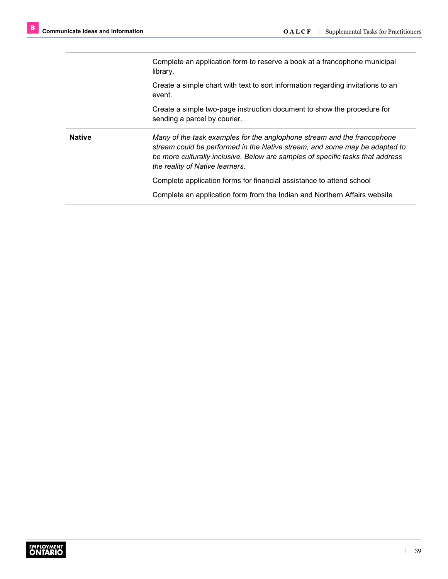Complete an application form to reserve a book at a francophone municipal library.

Create a simple chart with text to sort information regarding invitations to an event.

Create a simple two-page instruction document to show the procedure for sending a parcel by courier.

**Native** *Many of the task examples for the anglophone stream and the francophone stream could be performed in the Native stream, and some may be adapted to be more culturally inclusive. Below are samples of specific tasks that address the reality of Native learners.* 

Complete application forms for financial assistance to attend school

Complete an application form from the Indian and Northern Affairs website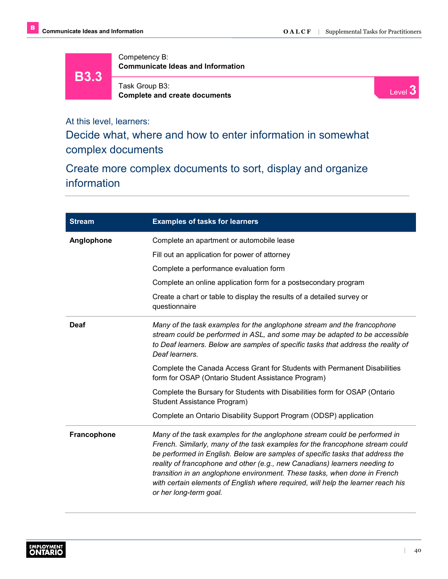**B3.3**

Competency B: **Communicate Ideas and Information**



Task Group B3: **Complete and create documents**

Level **3**

At this level, learners:

Decide what, where and how to enter information in somewhat complex documents

Create more complex documents to sort, display and organize information

| <b>Stream</b>      | <b>Examples of tasks for learners</b>                                                                                                                                                                                                                                                                                                                                                                                                                                                                                |
|--------------------|----------------------------------------------------------------------------------------------------------------------------------------------------------------------------------------------------------------------------------------------------------------------------------------------------------------------------------------------------------------------------------------------------------------------------------------------------------------------------------------------------------------------|
| Anglophone         | Complete an apartment or automobile lease                                                                                                                                                                                                                                                                                                                                                                                                                                                                            |
|                    | Fill out an application for power of attorney                                                                                                                                                                                                                                                                                                                                                                                                                                                                        |
|                    | Complete a performance evaluation form                                                                                                                                                                                                                                                                                                                                                                                                                                                                               |
|                    | Complete an online application form for a postsecondary program                                                                                                                                                                                                                                                                                                                                                                                                                                                      |
|                    | Create a chart or table to display the results of a detailed survey or<br>questionnaire                                                                                                                                                                                                                                                                                                                                                                                                                              |
| Deaf               | Many of the task examples for the anglophone stream and the francophone<br>stream could be performed in ASL, and some may be adapted to be accessible<br>to Deaf learners. Below are samples of specific tasks that address the reality of<br>Deaf learners.                                                                                                                                                                                                                                                         |
|                    | Complete the Canada Access Grant for Students with Permanent Disabilities<br>form for OSAP (Ontario Student Assistance Program)                                                                                                                                                                                                                                                                                                                                                                                      |
|                    | Complete the Bursary for Students with Disabilities form for OSAP (Ontario<br>Student Assistance Program)                                                                                                                                                                                                                                                                                                                                                                                                            |
|                    | Complete an Ontario Disability Support Program (ODSP) application                                                                                                                                                                                                                                                                                                                                                                                                                                                    |
| <b>Francophone</b> | Many of the task examples for the anglophone stream could be performed in<br>French. Similarly, many of the task examples for the francophone stream could<br>be performed in English. Below are samples of specific tasks that address the<br>reality of francophone and other (e.g., new Canadians) learners needing to<br>transition in an anglophone environment. These tasks, when done in French<br>with certain elements of English where required, will help the learner reach his<br>or her long-term goal. |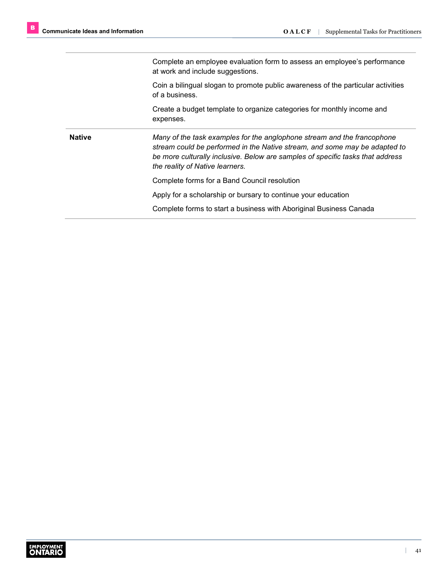Complete an employee evaluation form to assess an employee's performance at work and include suggestions.

Coin a bilingual slogan to promote public awareness of the particular activities of a business.

Create a budget template to organize categories for monthly income and expenses.

**Native** *Many of the task examples for the anglophone stream and the francophone stream could be performed in the Native stream, and some may be adapted to be more culturally inclusive. Below are samples of specific tasks that address the reality of Native learners.*

Complete forms for a Band Council resolution

Apply for a scholarship or bursary to continue your education

Complete forms to start a business with Aboriginal Business Canada

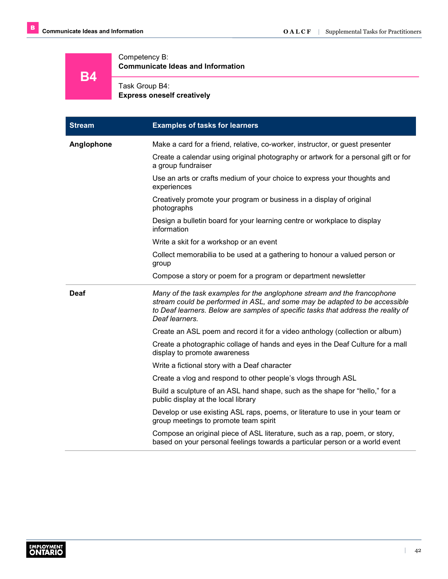Competency B:

**Communicate Ideas and Information**

**B4**

# Task Group B4:

**Express oneself creatively**

| <b>Stream</b> | <b>Examples of tasks for learners</b>                                                                                                                                                                                                                        |
|---------------|--------------------------------------------------------------------------------------------------------------------------------------------------------------------------------------------------------------------------------------------------------------|
| Anglophone    | Make a card for a friend, relative, co-worker, instructor, or guest presenter                                                                                                                                                                                |
|               | Create a calendar using original photography or artwork for a personal gift or for<br>a group fundraiser                                                                                                                                                     |
|               | Use an arts or crafts medium of your choice to express your thoughts and<br>experiences                                                                                                                                                                      |
|               | Creatively promote your program or business in a display of original<br>photographs                                                                                                                                                                          |
|               | Design a bulletin board for your learning centre or workplace to display<br>information                                                                                                                                                                      |
|               | Write a skit for a workshop or an event                                                                                                                                                                                                                      |
|               | Collect memorabilia to be used at a gathering to honour a valued person or<br>group                                                                                                                                                                          |
|               | Compose a story or poem for a program or department newsletter                                                                                                                                                                                               |
| <b>Deaf</b>   | Many of the task examples for the anglophone stream and the francophone<br>stream could be performed in ASL, and some may be adapted to be accessible<br>to Deaf learners. Below are samples of specific tasks that address the reality of<br>Deaf learners. |
|               | Create an ASL poem and record it for a video anthology (collection or album)                                                                                                                                                                                 |
|               | Create a photographic collage of hands and eyes in the Deaf Culture for a mall<br>display to promote awareness                                                                                                                                               |
|               | Write a fictional story with a Deaf character                                                                                                                                                                                                                |
|               | Create a vlog and respond to other people's vlogs through ASL                                                                                                                                                                                                |
|               | Build a sculpture of an ASL hand shape, such as the shape for "hello," for a<br>public display at the local library                                                                                                                                          |
|               | Develop or use existing ASL raps, poems, or literature to use in your team or<br>group meetings to promote team spirit                                                                                                                                       |
|               | Compose an original piece of ASL literature, such as a rap, poem, or story,<br>based on your personal feelings towards a particular person or a world event                                                                                                  |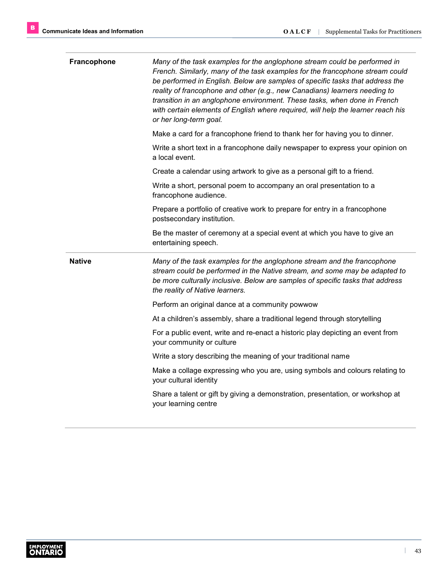| Francophone   | Many of the task examples for the anglophone stream could be performed in<br>French. Similarly, many of the task examples for the francophone stream could<br>be performed in English. Below are samples of specific tasks that address the<br>reality of francophone and other (e.g., new Canadians) learners needing to<br>transition in an anglophone environment. These tasks, when done in French<br>with certain elements of English where required, will help the learner reach his<br>or her long-term goal. |
|---------------|----------------------------------------------------------------------------------------------------------------------------------------------------------------------------------------------------------------------------------------------------------------------------------------------------------------------------------------------------------------------------------------------------------------------------------------------------------------------------------------------------------------------|
|               | Make a card for a francophone friend to thank her for having you to dinner.                                                                                                                                                                                                                                                                                                                                                                                                                                          |
|               | Write a short text in a francophone daily newspaper to express your opinion on<br>a local event.                                                                                                                                                                                                                                                                                                                                                                                                                     |
|               | Create a calendar using artwork to give as a personal gift to a friend.                                                                                                                                                                                                                                                                                                                                                                                                                                              |
|               | Write a short, personal poem to accompany an oral presentation to a<br>francophone audience.                                                                                                                                                                                                                                                                                                                                                                                                                         |
|               | Prepare a portfolio of creative work to prepare for entry in a francophone<br>postsecondary institution.                                                                                                                                                                                                                                                                                                                                                                                                             |
|               | Be the master of ceremony at a special event at which you have to give an                                                                                                                                                                                                                                                                                                                                                                                                                                            |
|               | entertaining speech.                                                                                                                                                                                                                                                                                                                                                                                                                                                                                                 |
| <b>Native</b> | Many of the task examples for the anglophone stream and the francophone<br>stream could be performed in the Native stream, and some may be adapted to<br>be more culturally inclusive. Below are samples of specific tasks that address<br>the reality of Native learners.                                                                                                                                                                                                                                           |
|               | Perform an original dance at a community powwow                                                                                                                                                                                                                                                                                                                                                                                                                                                                      |
|               | At a children's assembly, share a traditional legend through storytelling                                                                                                                                                                                                                                                                                                                                                                                                                                            |
|               | For a public event, write and re-enact a historic play depicting an event from<br>your community or culture                                                                                                                                                                                                                                                                                                                                                                                                          |
|               | Write a story describing the meaning of your traditional name                                                                                                                                                                                                                                                                                                                                                                                                                                                        |
|               | Make a collage expressing who you are, using symbols and colours relating to<br>your cultural identity                                                                                                                                                                                                                                                                                                                                                                                                               |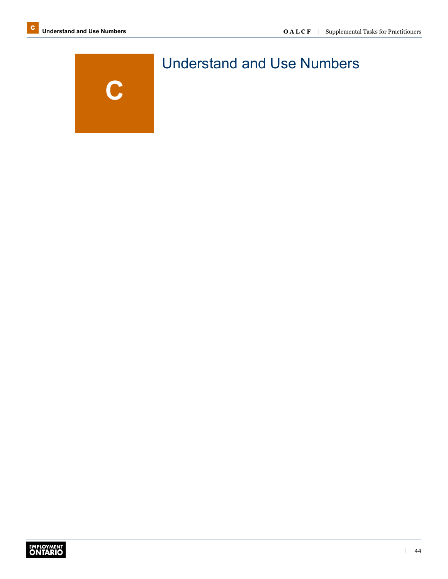

# Understand and Use Numbers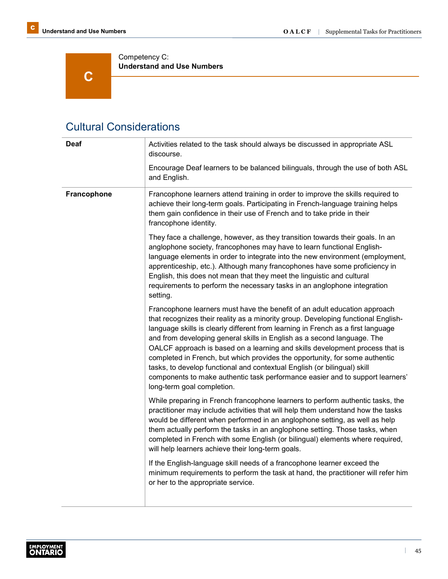**C** 

Competency C: **Understand and Use Numbers**

## Cultural Considerations

| <b>Deaf</b> | Activities related to the task should always be discussed in appropriate ASL<br>discourse.                                                                                                                                                                                                                                                                                                                                                                                                                                                                                                                                                                                              |
|-------------|-----------------------------------------------------------------------------------------------------------------------------------------------------------------------------------------------------------------------------------------------------------------------------------------------------------------------------------------------------------------------------------------------------------------------------------------------------------------------------------------------------------------------------------------------------------------------------------------------------------------------------------------------------------------------------------------|
|             | Encourage Deaf learners to be balanced bilinguals, through the use of both ASL<br>and English.                                                                                                                                                                                                                                                                                                                                                                                                                                                                                                                                                                                          |
| Francophone | Francophone learners attend training in order to improve the skills required to<br>achieve their long-term goals. Participating in French-language training helps<br>them gain confidence in their use of French and to take pride in their<br>francophone identity.                                                                                                                                                                                                                                                                                                                                                                                                                    |
|             | They face a challenge, however, as they transition towards their goals. In an<br>anglophone society, francophones may have to learn functional English-<br>language elements in order to integrate into the new environment (employment,<br>apprenticeship, etc.). Although many francophones have some proficiency in<br>English, this does not mean that they meet the linguistic and cultural<br>requirements to perform the necessary tasks in an anglophone integration<br>setting.                                                                                                                                                                                                |
|             | Francophone learners must have the benefit of an adult education approach<br>that recognizes their reality as a minority group. Developing functional English-<br>language skills is clearly different from learning in French as a first language<br>and from developing general skills in English as a second language. The<br>OALCF approach is based on a learning and skills development process that is<br>completed in French, but which provides the opportunity, for some authentic<br>tasks, to develop functional and contextual English (or bilingual) skill<br>components to make authentic task performance easier and to support learners'<br>long-term goal completion. |
|             | While preparing in French francophone learners to perform authentic tasks, the<br>practitioner may include activities that will help them understand how the tasks<br>would be different when performed in an anglophone setting, as well as help<br>them actually perform the tasks in an anglophone setting. Those tasks, when<br>completed in French with some English (or bilingual) elements where required,<br>will help learners achieve their long-term goals.                                                                                                                                                                                                                  |
|             | If the English-language skill needs of a francophone learner exceed the<br>minimum requirements to perform the task at hand, the practitioner will refer him<br>or her to the appropriate service.                                                                                                                                                                                                                                                                                                                                                                                                                                                                                      |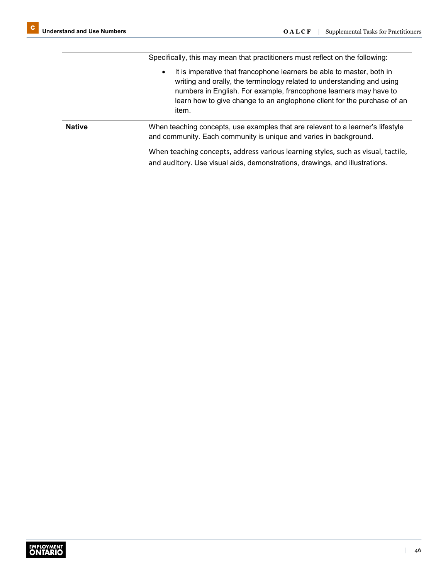|               | Specifically, this may mean that practitioners must reflect on the following:                                                                                                                                                                                                                                         |
|---------------|-----------------------------------------------------------------------------------------------------------------------------------------------------------------------------------------------------------------------------------------------------------------------------------------------------------------------|
|               | It is imperative that francophone learners be able to master, both in<br>$\bullet$<br>writing and orally, the terminology related to understanding and using<br>numbers in English. For example, francophone learners may have to<br>learn how to give change to an anglophone client for the purchase of an<br>item. |
| <b>Native</b> | When teaching concepts, use examples that are relevant to a learner's lifestyle<br>and community. Each community is unique and varies in background.                                                                                                                                                                  |
|               | When teaching concepts, address various learning styles, such as visual, tactile,<br>and auditory. Use visual aids, demonstrations, drawings, and illustrations.                                                                                                                                                      |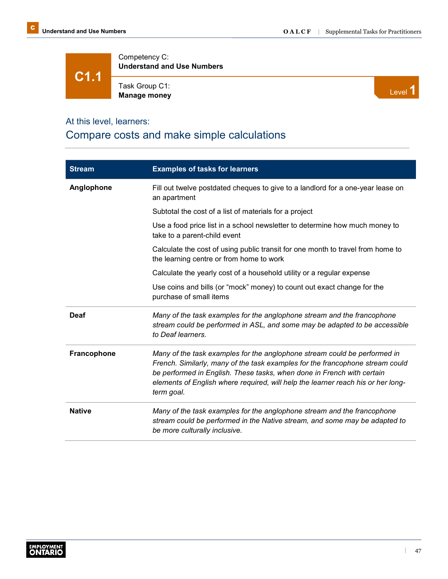**C1.1**

Competency C: **Understand and Use Numbers**

Task Group C1: **Manage money** Level 1



#### At this level, learners:

## Compare costs and make simple calculations

| <b>Stream</b> | <b>Examples of tasks for learners</b>                                                                                                                                                                                                                                                                                                  |
|---------------|----------------------------------------------------------------------------------------------------------------------------------------------------------------------------------------------------------------------------------------------------------------------------------------------------------------------------------------|
| Anglophone    | Fill out twelve postdated cheques to give to a landlord for a one-year lease on<br>an apartment                                                                                                                                                                                                                                        |
|               | Subtotal the cost of a list of materials for a project                                                                                                                                                                                                                                                                                 |
|               | Use a food price list in a school newsletter to determine how much money to<br>take to a parent-child event                                                                                                                                                                                                                            |
|               | Calculate the cost of using public transit for one month to travel from home to<br>the learning centre or from home to work                                                                                                                                                                                                            |
|               | Calculate the yearly cost of a household utility or a regular expense                                                                                                                                                                                                                                                                  |
|               | Use coins and bills (or "mock" money) to count out exact change for the<br>purchase of small items                                                                                                                                                                                                                                     |
| Deaf          | Many of the task examples for the anglophone stream and the francophone<br>stream could be performed in ASL, and some may be adapted to be accessible<br>to Deaf learners.                                                                                                                                                             |
| Francophone   | Many of the task examples for the anglophone stream could be performed in<br>French. Similarly, many of the task examples for the francophone stream could<br>be performed in English. These tasks, when done in French with certain<br>elements of English where required, will help the learner reach his or her long-<br>term goal. |
| <b>Native</b> | Many of the task examples for the anglophone stream and the francophone<br>stream could be performed in the Native stream, and some may be adapted to<br>be more culturally inclusive.                                                                                                                                                 |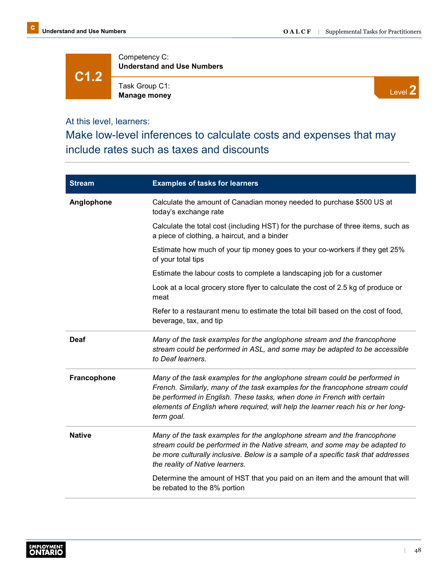**C1.2**

Competency C: **Understand and Use Numbers**

Task Group C1: **Manage money**

Level **2**

At this level, learners:

Make low-level inferences to calculate costs and expenses that may include rates such as taxes and discounts

| <b>Stream</b> | <b>Examples of tasks for learners</b>                                                                                                                                                                                                                                                                                                  |
|---------------|----------------------------------------------------------------------------------------------------------------------------------------------------------------------------------------------------------------------------------------------------------------------------------------------------------------------------------------|
| Anglophone    | Calculate the amount of Canadian money needed to purchase \$500 US at<br>today's exchange rate                                                                                                                                                                                                                                         |
|               | Calculate the total cost (including HST) for the purchase of three items, such as<br>a piece of clothing, a haircut, and a binder                                                                                                                                                                                                      |
|               | Estimate how much of your tip money goes to your co-workers if they get 25%<br>of your total tips                                                                                                                                                                                                                                      |
|               | Estimate the labour costs to complete a landscaping job for a customer                                                                                                                                                                                                                                                                 |
|               | Look at a local grocery store flyer to calculate the cost of 2.5 kg of produce or<br>meat                                                                                                                                                                                                                                              |
|               | Refer to a restaurant menu to estimate the total bill based on the cost of food,<br>beverage, tax, and tip                                                                                                                                                                                                                             |
| <b>Deaf</b>   | Many of the task examples for the anglophone stream and the francophone<br>stream could be performed in ASL, and some may be adapted to be accessible<br>to Deaf learners.                                                                                                                                                             |
| Francophone   | Many of the task examples for the anglophone stream could be performed in<br>French. Similarly, many of the task examples for the francophone stream could<br>be performed in English. These tasks, when done in French with certain<br>elements of English where required, will help the learner reach his or her long-<br>term goal. |
| <b>Native</b> | Many of the task examples for the anglophone stream and the francophone<br>stream could be performed in the Native stream, and some may be adapted to<br>be more culturally inclusive. Below is a sample of a specific task that addresses<br>the reality of Native learners.                                                          |
|               | Determine the amount of HST that you paid on an item and the amount that will<br>be rebated to the 8% portion                                                                                                                                                                                                                          |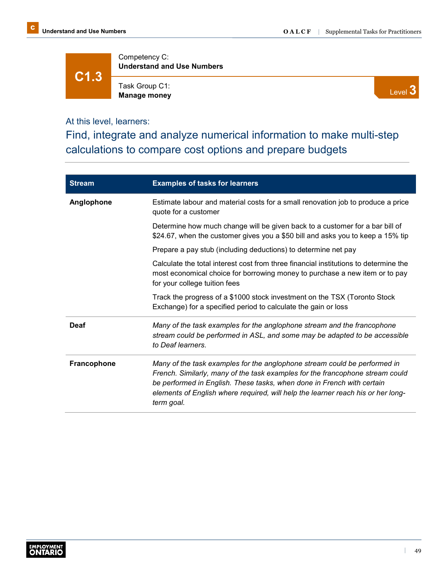**C1.3**

Competency C: **Understand and Use Numbers**

Task Group C1: **Manage money**

Level **3**

At this level, learners:

Find, integrate and analyze numerical information to make multi-step calculations to compare cost options and prepare budgets

| <b>Stream</b>      | <b>Examples of tasks for learners</b>                                                                                                                                                                                                                                                                                                  |
|--------------------|----------------------------------------------------------------------------------------------------------------------------------------------------------------------------------------------------------------------------------------------------------------------------------------------------------------------------------------|
| Anglophone         | Estimate labour and material costs for a small renovation job to produce a price<br>quote for a customer                                                                                                                                                                                                                               |
|                    | Determine how much change will be given back to a customer for a bar bill of<br>\$24.67, when the customer gives you a \$50 bill and asks you to keep a 15% tip                                                                                                                                                                        |
|                    | Prepare a pay stub (including deductions) to determine net pay                                                                                                                                                                                                                                                                         |
|                    | Calculate the total interest cost from three financial institutions to determine the<br>most economical choice for borrowing money to purchase a new item or to pay<br>for your college tuition fees                                                                                                                                   |
|                    | Track the progress of a \$1000 stock investment on the TSX (Toronto Stock<br>Exchange) for a specified period to calculate the gain or loss                                                                                                                                                                                            |
| Deaf               | Many of the task examples for the anglophone stream and the francophone<br>stream could be performed in ASL, and some may be adapted to be accessible<br>to Deaf learners.                                                                                                                                                             |
| <b>Francophone</b> | Many of the task examples for the anglophone stream could be performed in<br>French. Similarly, many of the task examples for the francophone stream could<br>be performed in English. These tasks, when done in French with certain<br>elements of English where required, will help the learner reach his or her long-<br>term goal. |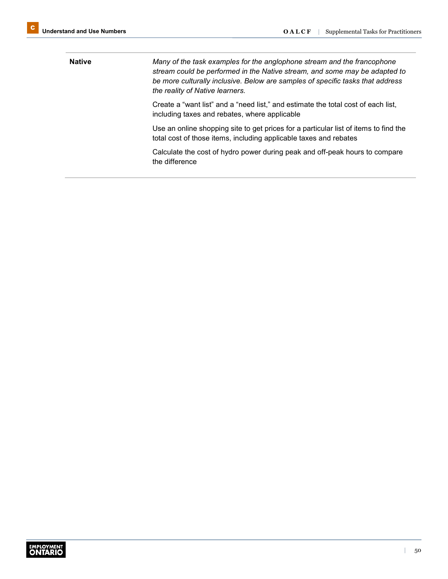**Native** *Many of the task examples for the anglophone stream and the francophone stream could be performed in the Native stream, and some may be adapted to be more culturally inclusive. Below are samples of specific tasks that address the reality of Native learners.* Create a "want list" and a "need list," and estimate the total cost of each list, including taxes and rebates, where applicable Use an online shopping site to get prices for a particular list of items to find the total cost of those items, including applicable taxes and rebates Calculate the cost of hydro power during peak and off-peak hours to compare the difference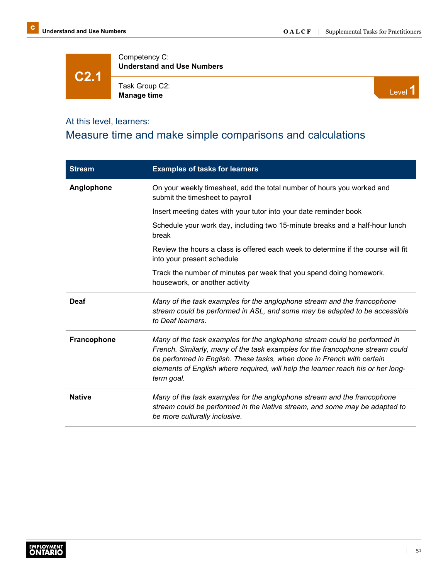**C2.1**

Competency C: **Understand and Use Numbers**

Task Group C2: Task Group C2:<br>**Manage time** Level **1** 



### At this level, learners:

## Measure time and make simple comparisons and calculations

| <b>Stream</b>      | <b>Examples of tasks for learners</b>                                                                                                                                                                                                                                                                                                  |
|--------------------|----------------------------------------------------------------------------------------------------------------------------------------------------------------------------------------------------------------------------------------------------------------------------------------------------------------------------------------|
| Anglophone         | On your weekly timesheet, add the total number of hours you worked and<br>submit the timesheet to payroll                                                                                                                                                                                                                              |
|                    | Insert meeting dates with your tutor into your date reminder book                                                                                                                                                                                                                                                                      |
|                    | Schedule your work day, including two 15-minute breaks and a half-hour lunch<br>break                                                                                                                                                                                                                                                  |
|                    | Review the hours a class is offered each week to determine if the course will fit<br>into your present schedule                                                                                                                                                                                                                        |
|                    | Track the number of minutes per week that you spend doing homework,<br>housework, or another activity                                                                                                                                                                                                                                  |
| Deaf               | Many of the task examples for the anglophone stream and the francophone<br>stream could be performed in ASL, and some may be adapted to be accessible<br>to Deaf learners.                                                                                                                                                             |
| <b>Francophone</b> | Many of the task examples for the anglophone stream could be performed in<br>French. Similarly, many of the task examples for the francophone stream could<br>be performed in English. These tasks, when done in French with certain<br>elements of English where required, will help the learner reach his or her long-<br>term goal. |
| <b>Native</b>      | Many of the task examples for the anglophone stream and the francophone<br>stream could be performed in the Native stream, and some may be adapted to<br>be more culturally inclusive.                                                                                                                                                 |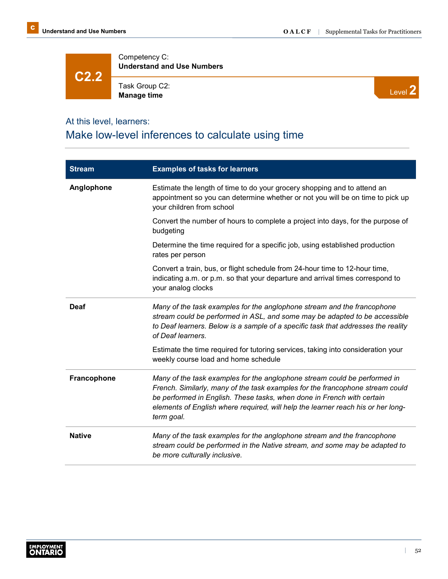**C2.2**

Competency C: **Understand and Use Numbers**

Task Group C2: **Manage time**



### At this level, learners:

# Make low-level inferences to calculate using time

| <b>Stream</b> | <b>Examples of tasks for learners</b>                                                                                                                                                                                                                                                                                                  |
|---------------|----------------------------------------------------------------------------------------------------------------------------------------------------------------------------------------------------------------------------------------------------------------------------------------------------------------------------------------|
| Anglophone    | Estimate the length of time to do your grocery shopping and to attend an<br>appointment so you can determine whether or not you will be on time to pick up<br>your children from school                                                                                                                                                |
|               | Convert the number of hours to complete a project into days, for the purpose of<br>budgeting                                                                                                                                                                                                                                           |
|               | Determine the time required for a specific job, using established production<br>rates per person                                                                                                                                                                                                                                       |
|               | Convert a train, bus, or flight schedule from 24-hour time to 12-hour time,<br>indicating a.m. or p.m. so that your departure and arrival times correspond to<br>your analog clocks                                                                                                                                                    |
| <b>Deaf</b>   | Many of the task examples for the anglophone stream and the francophone<br>stream could be performed in ASL, and some may be adapted to be accessible<br>to Deaf learners. Below is a sample of a specific task that addresses the reality<br>of Deaf learners.                                                                        |
|               | Estimate the time required for tutoring services, taking into consideration your<br>weekly course load and home schedule                                                                                                                                                                                                               |
| Francophone   | Many of the task examples for the anglophone stream could be performed in<br>French. Similarly, many of the task examples for the francophone stream could<br>be performed in English. These tasks, when done in French with certain<br>elements of English where required, will help the learner reach his or her long-<br>term goal. |
| <b>Native</b> | Many of the task examples for the anglophone stream and the francophone<br>stream could be performed in the Native stream, and some may be adapted to<br>be more culturally inclusive.                                                                                                                                                 |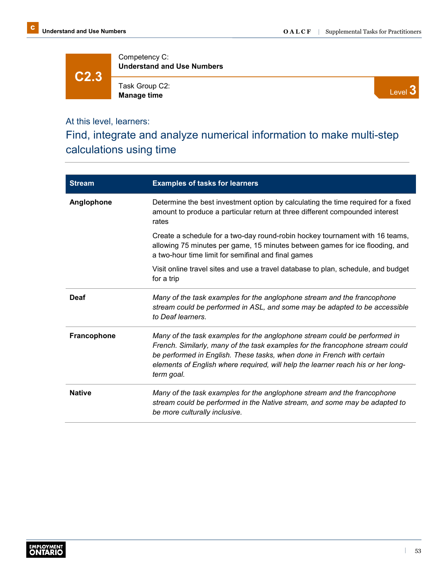**C2.3**

Competency C: **Understand and Use Numbers**

Task Group C2: **Manage time**

Level **3**

### At this level, learners:

Find, integrate and analyze numerical information to make multi-step calculations using time

| <b>Stream</b>      | <b>Examples of tasks for learners</b>                                                                                                                                                                                                                                                                                                  |
|--------------------|----------------------------------------------------------------------------------------------------------------------------------------------------------------------------------------------------------------------------------------------------------------------------------------------------------------------------------------|
| Anglophone         | Determine the best investment option by calculating the time required for a fixed<br>amount to produce a particular return at three different compounded interest<br>rates                                                                                                                                                             |
|                    | Create a schedule for a two-day round-robin hockey tournament with 16 teams,<br>allowing 75 minutes per game, 15 minutes between games for ice flooding, and<br>a two-hour time limit for semifinal and final games                                                                                                                    |
|                    | Visit online travel sites and use a travel database to plan, schedule, and budget<br>for a trip                                                                                                                                                                                                                                        |
| Deaf               | Many of the task examples for the anglophone stream and the francophone<br>stream could be performed in ASL, and some may be adapted to be accessible<br>to Deaf learners.                                                                                                                                                             |
| <b>Francophone</b> | Many of the task examples for the anglophone stream could be performed in<br>French. Similarly, many of the task examples for the francophone stream could<br>be performed in English. These tasks, when done in French with certain<br>elements of English where required, will help the learner reach his or her long-<br>term goal. |
| <b>Native</b>      | Many of the task examples for the anglophone stream and the francophone<br>stream could be performed in the Native stream, and some may be adapted to<br>be more culturally inclusive.                                                                                                                                                 |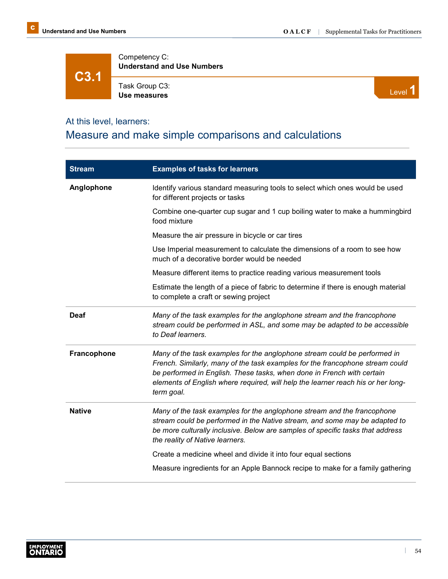**C3.1**

Competency C: **Understand and Use Numbers**

Task Group C3: Task Group C3:<br>Use measures **Level 1** 



### At this level, learners:

## Measure and make simple comparisons and calculations

| <b>Stream</b> | <b>Examples of tasks for learners</b>                                                                                                                                                                                                                                                                                                  |
|---------------|----------------------------------------------------------------------------------------------------------------------------------------------------------------------------------------------------------------------------------------------------------------------------------------------------------------------------------------|
| Anglophone    | Identify various standard measuring tools to select which ones would be used<br>for different projects or tasks                                                                                                                                                                                                                        |
|               | Combine one-quarter cup sugar and 1 cup boiling water to make a hummingbird<br>food mixture                                                                                                                                                                                                                                            |
|               | Measure the air pressure in bicycle or car tires                                                                                                                                                                                                                                                                                       |
|               | Use Imperial measurement to calculate the dimensions of a room to see how<br>much of a decorative border would be needed                                                                                                                                                                                                               |
|               | Measure different items to practice reading various measurement tools                                                                                                                                                                                                                                                                  |
|               | Estimate the length of a piece of fabric to determine if there is enough material<br>to complete a craft or sewing project                                                                                                                                                                                                             |
| <b>Deaf</b>   | Many of the task examples for the anglophone stream and the francophone<br>stream could be performed in ASL, and some may be adapted to be accessible<br>to Deaf learners.                                                                                                                                                             |
| Francophone   | Many of the task examples for the anglophone stream could be performed in<br>French. Similarly, many of the task examples for the francophone stream could<br>be performed in English. These tasks, when done in French with certain<br>elements of English where required, will help the learner reach his or her long-<br>term goal. |
| <b>Native</b> | Many of the task examples for the anglophone stream and the francophone<br>stream could be performed in the Native stream, and some may be adapted to<br>be more culturally inclusive. Below are samples of specific tasks that address<br>the reality of Native learners.                                                             |
|               | Create a medicine wheel and divide it into four equal sections                                                                                                                                                                                                                                                                         |
|               | Measure ingredients for an Apple Bannock recipe to make for a family gathering                                                                                                                                                                                                                                                         |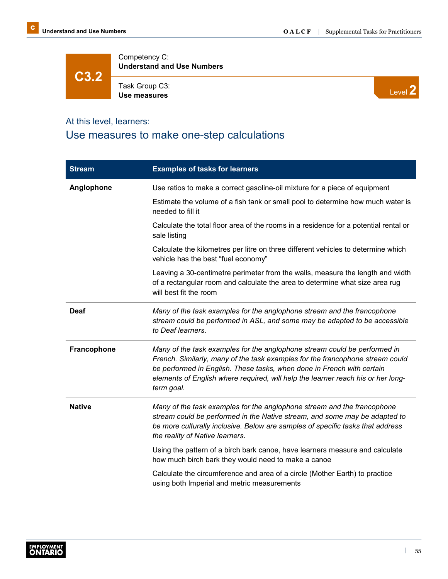**C3.2**

Competency C: **Understand and Use Numbers**

Task Group C3: **Use measures**



### At this level, learners:

## Use measures to make one-step calculations

| <b>Stream</b> | <b>Examples of tasks for learners</b>                                                                                                                                                                                                                                                                                                  |
|---------------|----------------------------------------------------------------------------------------------------------------------------------------------------------------------------------------------------------------------------------------------------------------------------------------------------------------------------------------|
| Anglophone    | Use ratios to make a correct gasoline-oil mixture for a piece of equipment                                                                                                                                                                                                                                                             |
|               | Estimate the volume of a fish tank or small pool to determine how much water is<br>needed to fill it                                                                                                                                                                                                                                   |
|               | Calculate the total floor area of the rooms in a residence for a potential rental or<br>sale listing                                                                                                                                                                                                                                   |
|               | Calculate the kilometres per litre on three different vehicles to determine which<br>vehicle has the best "fuel economy"                                                                                                                                                                                                               |
|               | Leaving a 30-centimetre perimeter from the walls, measure the length and width<br>of a rectangular room and calculate the area to determine what size area rug<br>will best fit the room                                                                                                                                               |
| Deaf          | Many of the task examples for the anglophone stream and the francophone<br>stream could be performed in ASL, and some may be adapted to be accessible<br>to Deaf learners.                                                                                                                                                             |
| Francophone   | Many of the task examples for the anglophone stream could be performed in<br>French. Similarly, many of the task examples for the francophone stream could<br>be performed in English. These tasks, when done in French with certain<br>elements of English where required, will help the learner reach his or her long-<br>term goal. |
| <b>Native</b> | Many of the task examples for the anglophone stream and the francophone<br>stream could be performed in the Native stream, and some may be adapted to<br>be more culturally inclusive. Below are samples of specific tasks that address<br>the reality of Native learners.                                                             |
|               | Using the pattern of a birch bark canoe, have learners measure and calculate<br>how much birch bark they would need to make a canoe                                                                                                                                                                                                    |
|               | Calculate the circumference and area of a circle (Mother Earth) to practice<br>using both Imperial and metric measurements                                                                                                                                                                                                             |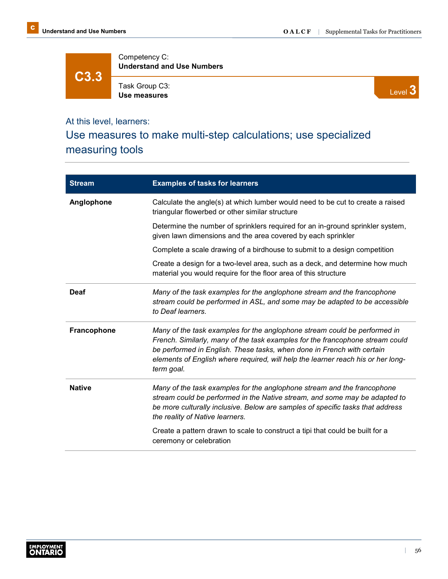**C3.3**

Competency C: **Understand and Use Numbers**

Task Group C3: **Use measures**



### At this level, learners:

# Use measures to make multi-step calculations; use specialized measuring tools

| <b>Stream</b> | <b>Examples of tasks for learners</b>                                                                                                                                                                                                                                                                                                  |
|---------------|----------------------------------------------------------------------------------------------------------------------------------------------------------------------------------------------------------------------------------------------------------------------------------------------------------------------------------------|
| Anglophone    | Calculate the angle(s) at which lumber would need to be cut to create a raised<br>triangular flowerbed or other similar structure                                                                                                                                                                                                      |
|               | Determine the number of sprinklers required for an in-ground sprinkler system,<br>given lawn dimensions and the area covered by each sprinkler                                                                                                                                                                                         |
|               | Complete a scale drawing of a birdhouse to submit to a design competition                                                                                                                                                                                                                                                              |
|               | Create a design for a two-level area, such as a deck, and determine how much<br>material you would require for the floor area of this structure                                                                                                                                                                                        |
| <b>Deaf</b>   | Many of the task examples for the anglophone stream and the francophone<br>stream could be performed in ASL, and some may be adapted to be accessible<br>to Deaf learners.                                                                                                                                                             |
| Francophone   | Many of the task examples for the anglophone stream could be performed in<br>French. Similarly, many of the task examples for the francophone stream could<br>be performed in English. These tasks, when done in French with certain<br>elements of English where required, will help the learner reach his or her long-<br>term goal. |
| <b>Native</b> | Many of the task examples for the anglophone stream and the francophone<br>stream could be performed in the Native stream, and some may be adapted to<br>be more culturally inclusive. Below are samples of specific tasks that address<br>the reality of Native learners.                                                             |
|               | Create a pattern drawn to scale to construct a tipi that could be built for a<br>ceremony or celebration                                                                                                                                                                                                                               |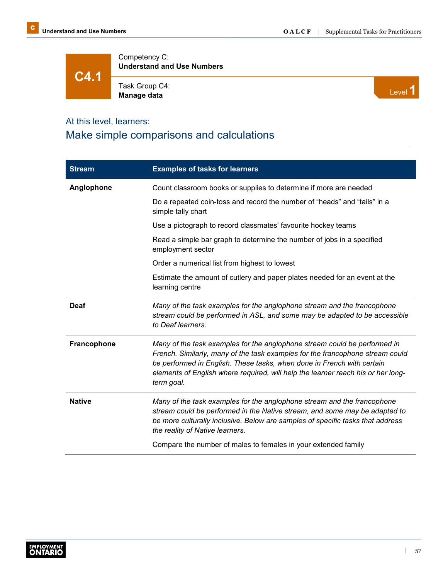**C4.1**

Competency C: **Understand and Use Numbers**

Task Group C4: Task Group C4:<br>**Manage data** Level **1** 



#### At this level, learners:

## Make simple comparisons and calculations

| <b>Stream</b> | <b>Examples of tasks for learners</b>                                                                                                                                                                                                                                                                                                  |
|---------------|----------------------------------------------------------------------------------------------------------------------------------------------------------------------------------------------------------------------------------------------------------------------------------------------------------------------------------------|
| Anglophone    | Count classroom books or supplies to determine if more are needed                                                                                                                                                                                                                                                                      |
|               | Do a repeated coin-toss and record the number of "heads" and "tails" in a<br>simple tally chart                                                                                                                                                                                                                                        |
|               | Use a pictograph to record classmates' favourite hockey teams                                                                                                                                                                                                                                                                          |
|               | Read a simple bar graph to determine the number of jobs in a specified<br>employment sector                                                                                                                                                                                                                                            |
|               | Order a numerical list from highest to lowest                                                                                                                                                                                                                                                                                          |
|               | Estimate the amount of cutlery and paper plates needed for an event at the<br>learning centre                                                                                                                                                                                                                                          |
| <b>Deaf</b>   | Many of the task examples for the anglophone stream and the francophone<br>stream could be performed in ASL, and some may be adapted to be accessible<br>to Deaf learners.                                                                                                                                                             |
| Francophone   | Many of the task examples for the anglophone stream could be performed in<br>French. Similarly, many of the task examples for the francophone stream could<br>be performed in English. These tasks, when done in French with certain<br>elements of English where required, will help the learner reach his or her long-<br>term goal. |
| <b>Native</b> | Many of the task examples for the anglophone stream and the francophone<br>stream could be performed in the Native stream, and some may be adapted to<br>be more culturally inclusive. Below are samples of specific tasks that address<br>the reality of Native learners.                                                             |
|               | Compare the number of males to females in your extended family                                                                                                                                                                                                                                                                         |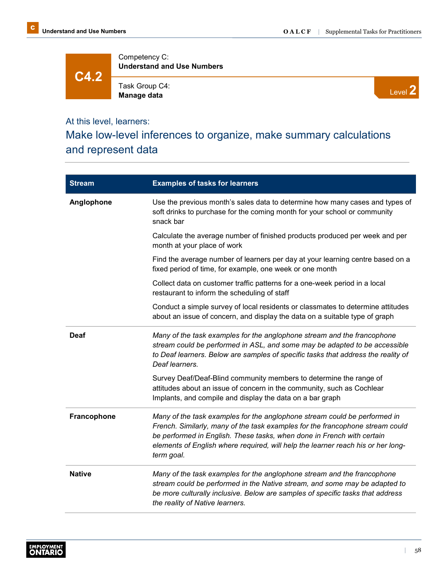**C4.2**

Competency C: **Understand and Use Numbers**

Task Group C4: **Manage data**



### At this level, learners:

# Make low-level inferences to organize, make summary calculations and represent data

| <b>Stream</b>      | <b>Examples of tasks for learners</b>                                                                                                                                                                                                                                                                                                  |
|--------------------|----------------------------------------------------------------------------------------------------------------------------------------------------------------------------------------------------------------------------------------------------------------------------------------------------------------------------------------|
| Anglophone         | Use the previous month's sales data to determine how many cases and types of<br>soft drinks to purchase for the coming month for your school or community<br>snack bar                                                                                                                                                                 |
|                    | Calculate the average number of finished products produced per week and per<br>month at your place of work                                                                                                                                                                                                                             |
|                    | Find the average number of learners per day at your learning centre based on a<br>fixed period of time, for example, one week or one month                                                                                                                                                                                             |
|                    | Collect data on customer traffic patterns for a one-week period in a local<br>restaurant to inform the scheduling of staff                                                                                                                                                                                                             |
|                    | Conduct a simple survey of local residents or classmates to determine attitudes<br>about an issue of concern, and display the data on a suitable type of graph                                                                                                                                                                         |
| Deaf               | Many of the task examples for the anglophone stream and the francophone<br>stream could be performed in ASL, and some may be adapted to be accessible<br>to Deaf learners. Below are samples of specific tasks that address the reality of<br>Deaf learners.                                                                           |
|                    | Survey Deaf/Deaf-Blind community members to determine the range of<br>attitudes about an issue of concern in the community, such as Cochlear<br>Implants, and compile and display the data on a bar graph                                                                                                                              |
| <b>Francophone</b> | Many of the task examples for the anglophone stream could be performed in<br>French. Similarly, many of the task examples for the francophone stream could<br>be performed in English. These tasks, when done in French with certain<br>elements of English where required, will help the learner reach his or her long-<br>term goal. |
| <b>Native</b>      | Many of the task examples for the anglophone stream and the francophone<br>stream could be performed in the Native stream, and some may be adapted to<br>be more culturally inclusive. Below are samples of specific tasks that address<br>the reality of Native learners.                                                             |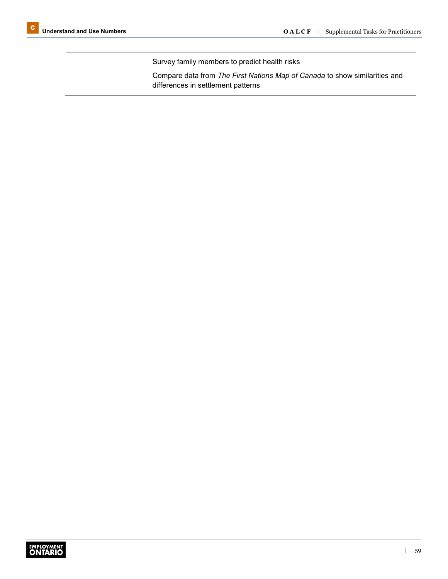Survey family members to predict health risks

Compare data from *The First Nations Map of Canada* to show similarities and differences in settlement patterns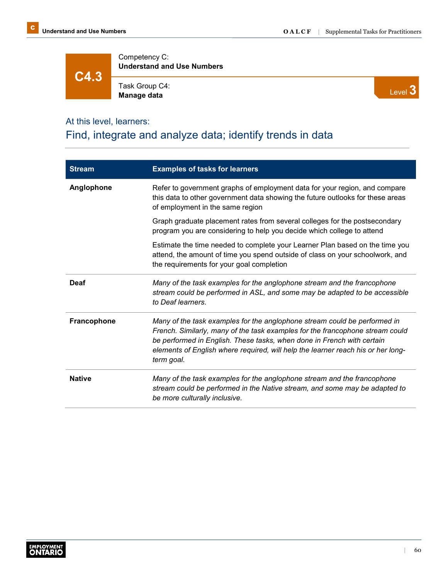**C4.3**

Competency C: **Understand and Use Numbers**

Task Group C4: **Manage data**



### At this level, learners:

# Find, integrate and analyze data; identify trends in data

| <b>Stream</b> | <b>Examples of tasks for learners</b>                                                                                                                                                                                                                                                                                                  |
|---------------|----------------------------------------------------------------------------------------------------------------------------------------------------------------------------------------------------------------------------------------------------------------------------------------------------------------------------------------|
| Anglophone    | Refer to government graphs of employment data for your region, and compare<br>this data to other government data showing the future outlooks for these areas<br>of employment in the same region                                                                                                                                       |
|               | Graph graduate placement rates from several colleges for the postsecondary<br>program you are considering to help you decide which college to attend                                                                                                                                                                                   |
|               | Estimate the time needed to complete your Learner Plan based on the time you<br>attend, the amount of time you spend outside of class on your schoolwork, and<br>the requirements for your goal completion                                                                                                                             |
| <b>Deaf</b>   | Many of the task examples for the anglophone stream and the francophone<br>stream could be performed in ASL, and some may be adapted to be accessible<br>to Deaf learners.                                                                                                                                                             |
| Francophone   | Many of the task examples for the anglophone stream could be performed in<br>French. Similarly, many of the task examples for the francophone stream could<br>be performed in English. These tasks, when done in French with certain<br>elements of English where required, will help the learner reach his or her long-<br>term goal. |
| <b>Native</b> | Many of the task examples for the anglophone stream and the francophone<br>stream could be performed in the Native stream, and some may be adapted to<br>be more culturally inclusive.                                                                                                                                                 |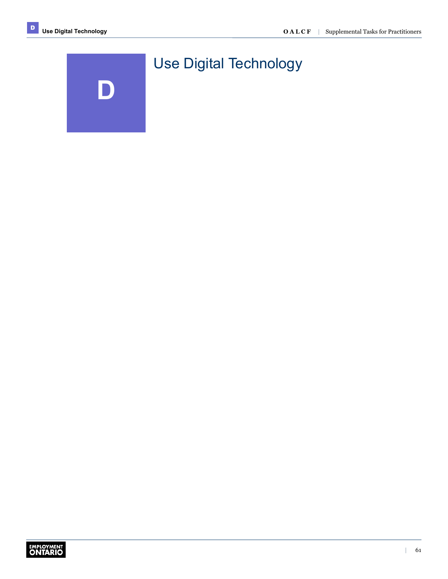

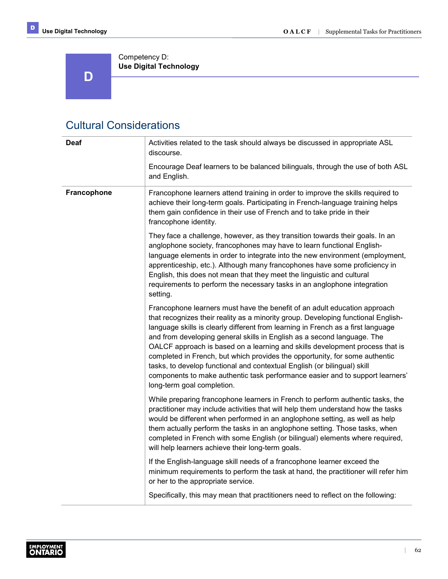**D** 

Competency D: **Use Digital Technology**

# Cultural Considerations

| <b>Deaf</b> | Activities related to the task should always be discussed in appropriate ASL<br>discourse.                                                                                                                                                                                                                                                                                                                                                                                                                                                                                                                                                                                              |
|-------------|-----------------------------------------------------------------------------------------------------------------------------------------------------------------------------------------------------------------------------------------------------------------------------------------------------------------------------------------------------------------------------------------------------------------------------------------------------------------------------------------------------------------------------------------------------------------------------------------------------------------------------------------------------------------------------------------|
|             | Encourage Deaf learners to be balanced bilinguals, through the use of both ASL<br>and English.                                                                                                                                                                                                                                                                                                                                                                                                                                                                                                                                                                                          |
| Francophone | Francophone learners attend training in order to improve the skills required to<br>achieve their long-term goals. Participating in French-language training helps<br>them gain confidence in their use of French and to take pride in their<br>francophone identity.                                                                                                                                                                                                                                                                                                                                                                                                                    |
|             | They face a challenge, however, as they transition towards their goals. In an<br>anglophone society, francophones may have to learn functional English-<br>language elements in order to integrate into the new environment (employment,<br>apprenticeship, etc.). Although many francophones have some proficiency in<br>English, this does not mean that they meet the linguistic and cultural<br>requirements to perform the necessary tasks in an anglophone integration<br>setting.                                                                                                                                                                                                |
|             | Francophone learners must have the benefit of an adult education approach<br>that recognizes their reality as a minority group. Developing functional English-<br>language skills is clearly different from learning in French as a first language<br>and from developing general skills in English as a second language. The<br>OALCF approach is based on a learning and skills development process that is<br>completed in French, but which provides the opportunity, for some authentic<br>tasks, to develop functional and contextual English (or bilingual) skill<br>components to make authentic task performance easier and to support learners'<br>long-term goal completion. |
|             | While preparing francophone learners in French to perform authentic tasks, the<br>practitioner may include activities that will help them understand how the tasks<br>would be different when performed in an anglophone setting, as well as help<br>them actually perform the tasks in an anglophone setting. Those tasks, when<br>completed in French with some English (or bilingual) elements where required,<br>will help learners achieve their long-term goals.                                                                                                                                                                                                                  |
|             | If the English-language skill needs of a francophone learner exceed the<br>minimum requirements to perform the task at hand, the practitioner will refer him<br>or her to the appropriate service.                                                                                                                                                                                                                                                                                                                                                                                                                                                                                      |
|             | Specifically, this may mean that practitioners need to reflect on the following:                                                                                                                                                                                                                                                                                                                                                                                                                                                                                                                                                                                                        |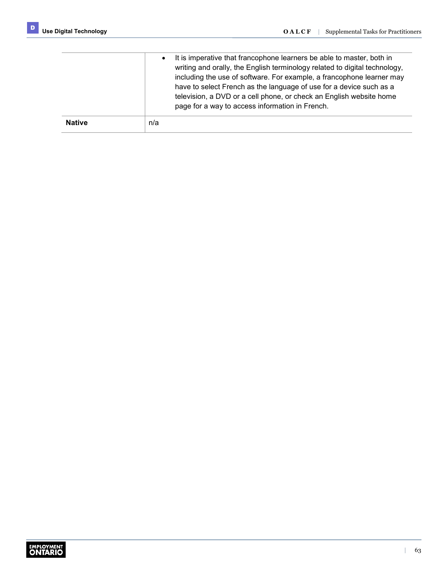|               | It is imperative that francophone learners be able to master, both in<br>$\bullet$<br>writing and orally, the English terminology related to digital technology,<br>including the use of software. For example, a francophone learner may<br>have to select French as the language of use for a device such as a<br>television, a DVD or a cell phone, or check an English website home<br>page for a way to access information in French. |
|---------------|--------------------------------------------------------------------------------------------------------------------------------------------------------------------------------------------------------------------------------------------------------------------------------------------------------------------------------------------------------------------------------------------------------------------------------------------|
| <b>Native</b> | n/a                                                                                                                                                                                                                                                                                                                                                                                                                                        |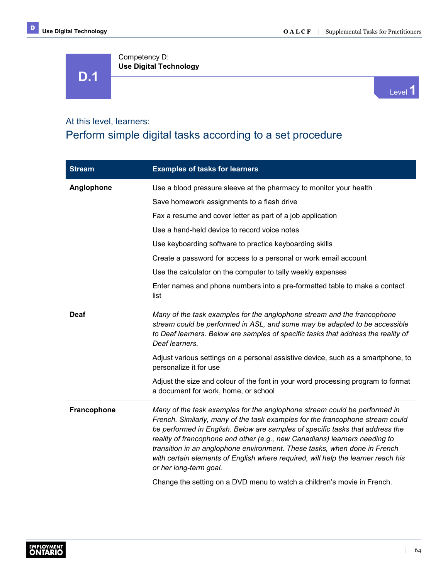**D.1**

Competency D: **Use Digital Technology**



#### At this level, learners:

## Perform simple digital tasks according to a set procedure

| <b>Stream</b> | <b>Examples of tasks for learners</b>                                                                                                                                                                                                                                                                                                                                                                                                                                                                                |
|---------------|----------------------------------------------------------------------------------------------------------------------------------------------------------------------------------------------------------------------------------------------------------------------------------------------------------------------------------------------------------------------------------------------------------------------------------------------------------------------------------------------------------------------|
| Anglophone    | Use a blood pressure sleeve at the pharmacy to monitor your health                                                                                                                                                                                                                                                                                                                                                                                                                                                   |
|               | Save homework assignments to a flash drive                                                                                                                                                                                                                                                                                                                                                                                                                                                                           |
|               | Fax a resume and cover letter as part of a job application                                                                                                                                                                                                                                                                                                                                                                                                                                                           |
|               | Use a hand-held device to record voice notes                                                                                                                                                                                                                                                                                                                                                                                                                                                                         |
|               | Use keyboarding software to practice keyboarding skills                                                                                                                                                                                                                                                                                                                                                                                                                                                              |
|               | Create a password for access to a personal or work email account                                                                                                                                                                                                                                                                                                                                                                                                                                                     |
|               | Use the calculator on the computer to tally weekly expenses                                                                                                                                                                                                                                                                                                                                                                                                                                                          |
|               | Enter names and phone numbers into a pre-formatted table to make a contact<br>list                                                                                                                                                                                                                                                                                                                                                                                                                                   |
| <b>Deaf</b>   | Many of the task examples for the anglophone stream and the francophone<br>stream could be performed in ASL, and some may be adapted to be accessible<br>to Deaf learners. Below are samples of specific tasks that address the reality of<br>Deaf learners.                                                                                                                                                                                                                                                         |
|               | Adjust various settings on a personal assistive device, such as a smartphone, to<br>personalize it for use                                                                                                                                                                                                                                                                                                                                                                                                           |
|               | Adjust the size and colour of the font in your word processing program to format<br>a document for work, home, or school                                                                                                                                                                                                                                                                                                                                                                                             |
| Francophone   | Many of the task examples for the anglophone stream could be performed in<br>French. Similarly, many of the task examples for the francophone stream could<br>be performed in English. Below are samples of specific tasks that address the<br>reality of francophone and other (e.g., new Canadians) learners needing to<br>transition in an anglophone environment. These tasks, when done in French<br>with certain elements of English where required, will help the learner reach his<br>or her long-term goal. |
|               | Change the setting on a DVD menu to watch a children's movie in French.                                                                                                                                                                                                                                                                                                                                                                                                                                              |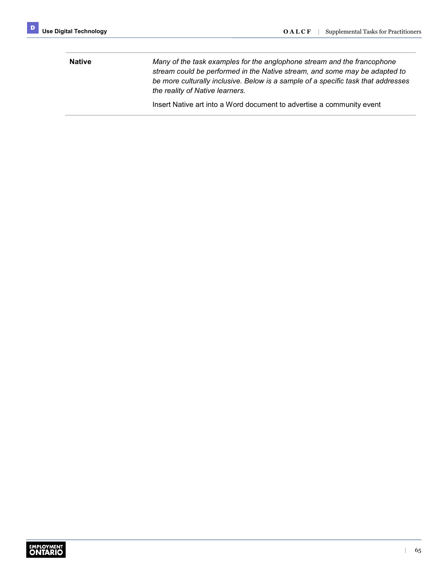| <b>Native</b> | Many of the task examples for the anglophone stream and the francophone<br>stream could be performed in the Native stream, and some may be adapted to<br>be more culturally inclusive. Below is a sample of a specific task that addresses<br>the reality of Native learners. |
|---------------|-------------------------------------------------------------------------------------------------------------------------------------------------------------------------------------------------------------------------------------------------------------------------------|
|               | Insert Native art into a Word document to advertise a community event                                                                                                                                                                                                         |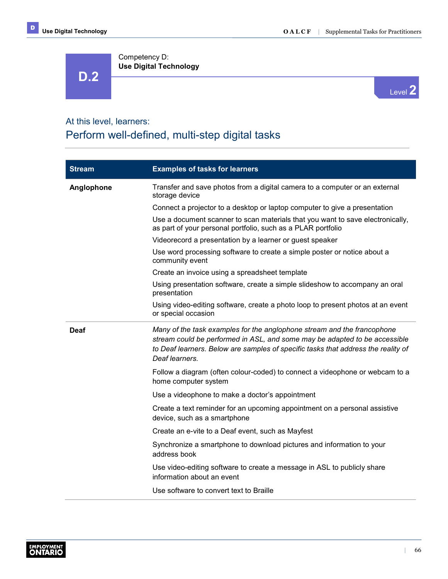Competency D: **Use Digital Technology D.2**



### At this level, learners:

# Perform well-defined, multi-step digital tasks

| <b>Stream</b> | <b>Examples of tasks for learners</b>                                                                                                                                                                                                                        |
|---------------|--------------------------------------------------------------------------------------------------------------------------------------------------------------------------------------------------------------------------------------------------------------|
| Anglophone    | Transfer and save photos from a digital camera to a computer or an external<br>storage device                                                                                                                                                                |
|               | Connect a projector to a desktop or laptop computer to give a presentation                                                                                                                                                                                   |
|               | Use a document scanner to scan materials that you want to save electronically,<br>as part of your personal portfolio, such as a PLAR portfolio                                                                                                               |
|               | Videorecord a presentation by a learner or guest speaker                                                                                                                                                                                                     |
|               | Use word processing software to create a simple poster or notice about a<br>community event                                                                                                                                                                  |
|               | Create an invoice using a spreadsheet template                                                                                                                                                                                                               |
|               | Using presentation software, create a simple slideshow to accompany an oral<br>presentation                                                                                                                                                                  |
|               | Using video-editing software, create a photo loop to present photos at an event<br>or special occasion                                                                                                                                                       |
| Deaf          | Many of the task examples for the anglophone stream and the francophone<br>stream could be performed in ASL, and some may be adapted to be accessible<br>to Deaf learners. Below are samples of specific tasks that address the reality of<br>Deaf learners. |
|               | Follow a diagram (often colour-coded) to connect a videophone or webcam to a<br>home computer system                                                                                                                                                         |
|               | Use a videophone to make a doctor's appointment                                                                                                                                                                                                              |
|               | Create a text reminder for an upcoming appointment on a personal assistive<br>device, such as a smartphone                                                                                                                                                   |
|               | Create an e-vite to a Deaf event, such as Mayfest                                                                                                                                                                                                            |
|               | Synchronize a smartphone to download pictures and information to your<br>address book                                                                                                                                                                        |
|               | Use video-editing software to create a message in ASL to publicly share<br>information about an event                                                                                                                                                        |
|               | Use software to convert text to Braille                                                                                                                                                                                                                      |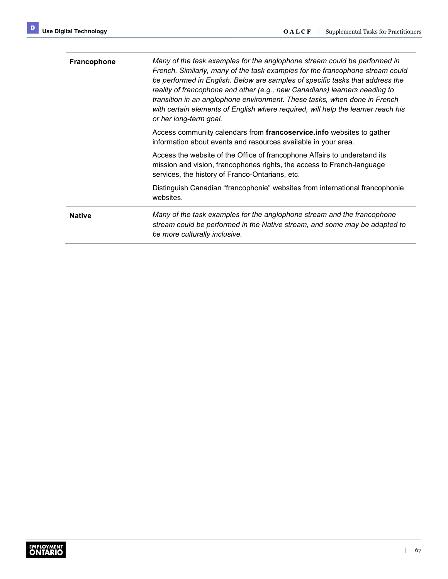| <b>Francophone</b> | Many of the task examples for the anglophone stream could be performed in<br>French. Similarly, many of the task examples for the francophone stream could<br>be performed in English. Below are samples of specific tasks that address the<br>reality of francophone and other (e.g., new Canadians) learners needing to<br>transition in an anglophone environment. These tasks, when done in French<br>with certain elements of English where required, will help the learner reach his<br>or her long-term goal. |
|--------------------|----------------------------------------------------------------------------------------------------------------------------------------------------------------------------------------------------------------------------------------------------------------------------------------------------------------------------------------------------------------------------------------------------------------------------------------------------------------------------------------------------------------------|
|                    | Access community calendars from francoservice. info websites to gather<br>information about events and resources available in your area.                                                                                                                                                                                                                                                                                                                                                                             |
|                    | Access the website of the Office of francophone Affairs to understand its<br>mission and vision, francophones rights, the access to French-language<br>services, the history of Franco-Ontarians, etc.                                                                                                                                                                                                                                                                                                               |
|                    | Distinguish Canadian "francophonie" websites from international francophonie<br>websites.                                                                                                                                                                                                                                                                                                                                                                                                                            |
| <b>Native</b>      | Many of the task examples for the anglophone stream and the francophone<br>stream could be performed in the Native stream, and some may be adapted to<br>be more culturally inclusive.                                                                                                                                                                                                                                                                                                                               |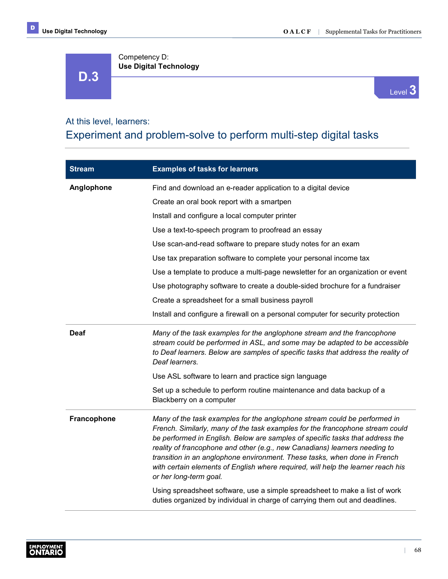**D.3**



### At this level, learners:

Competency D:

**Use Digital Technology**

## Experiment and problem-solve to perform multi-step digital tasks

| <b>Stream</b>      | <b>Examples of tasks for learners</b>                                                                                                                                                                                                                                                                                                                                                                                                                                                                                |
|--------------------|----------------------------------------------------------------------------------------------------------------------------------------------------------------------------------------------------------------------------------------------------------------------------------------------------------------------------------------------------------------------------------------------------------------------------------------------------------------------------------------------------------------------|
| Anglophone         | Find and download an e-reader application to a digital device                                                                                                                                                                                                                                                                                                                                                                                                                                                        |
|                    | Create an oral book report with a smartpen                                                                                                                                                                                                                                                                                                                                                                                                                                                                           |
|                    | Install and configure a local computer printer                                                                                                                                                                                                                                                                                                                                                                                                                                                                       |
|                    | Use a text-to-speech program to proofread an essay                                                                                                                                                                                                                                                                                                                                                                                                                                                                   |
|                    | Use scan-and-read software to prepare study notes for an exam                                                                                                                                                                                                                                                                                                                                                                                                                                                        |
|                    | Use tax preparation software to complete your personal income tax                                                                                                                                                                                                                                                                                                                                                                                                                                                    |
|                    | Use a template to produce a multi-page newsletter for an organization or event                                                                                                                                                                                                                                                                                                                                                                                                                                       |
|                    | Use photography software to create a double-sided brochure for a fundraiser                                                                                                                                                                                                                                                                                                                                                                                                                                          |
|                    | Create a spreadsheet for a small business payroll                                                                                                                                                                                                                                                                                                                                                                                                                                                                    |
|                    | Install and configure a firewall on a personal computer for security protection                                                                                                                                                                                                                                                                                                                                                                                                                                      |
| <b>Deaf</b>        | Many of the task examples for the anglophone stream and the francophone<br>stream could be performed in ASL, and some may be adapted to be accessible<br>to Deaf learners. Below are samples of specific tasks that address the reality of<br>Deaf learners.                                                                                                                                                                                                                                                         |
|                    | Use ASL software to learn and practice sign language                                                                                                                                                                                                                                                                                                                                                                                                                                                                 |
|                    | Set up a schedule to perform routine maintenance and data backup of a<br>Blackberry on a computer                                                                                                                                                                                                                                                                                                                                                                                                                    |
| <b>Francophone</b> | Many of the task examples for the anglophone stream could be performed in<br>French. Similarly, many of the task examples for the francophone stream could<br>be performed in English. Below are samples of specific tasks that address the<br>reality of francophone and other (e.g., new Canadians) learners needing to<br>transition in an anglophone environment. These tasks, when done in French<br>with certain elements of English where required, will help the learner reach his<br>or her long-term goal. |
|                    | Using spreadsheet software, use a simple spreadsheet to make a list of work<br>duties organized by individual in charge of carrying them out and deadlines.                                                                                                                                                                                                                                                                                                                                                          |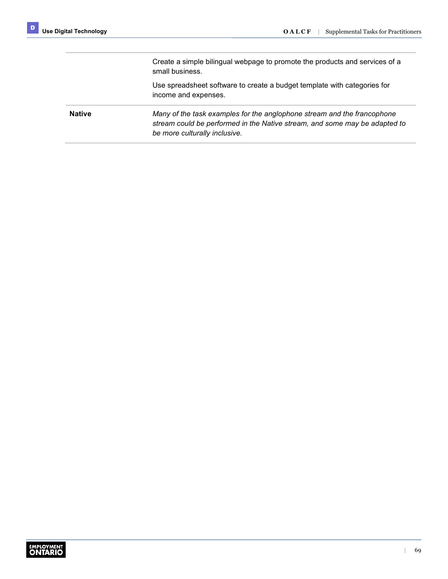Create a simple bilingual webpage to promote the products and services of a small business.

Use spreadsheet software to create a budget template with categories for income and expenses.

**Native** *Many of the task examples for the anglophone stream and the francophone stream could be performed in the Native stream, and some may be adapted to be more culturally inclusive.*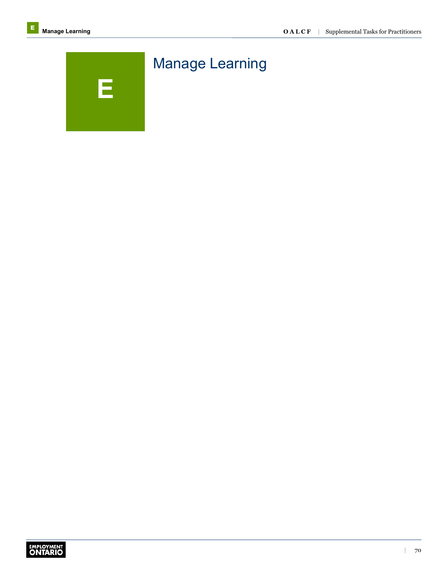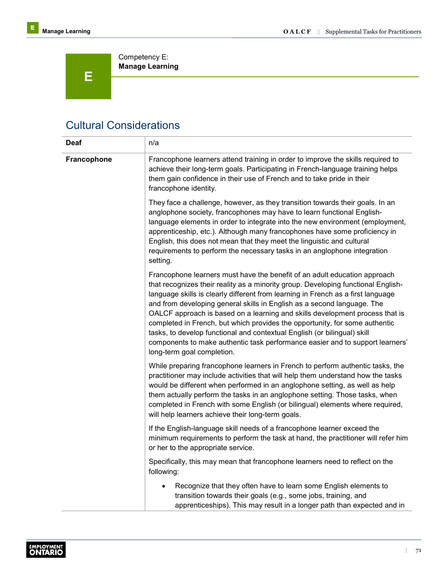

Competency E: **Manage Learning**

## Cultural Considerations

| <b>Deaf</b>        | n/a                                                                                                                                                                                                                                                                                                                                                                                                                                                                                                                                                                                                                                                                                     |
|--------------------|-----------------------------------------------------------------------------------------------------------------------------------------------------------------------------------------------------------------------------------------------------------------------------------------------------------------------------------------------------------------------------------------------------------------------------------------------------------------------------------------------------------------------------------------------------------------------------------------------------------------------------------------------------------------------------------------|
| <b>Francophone</b> | Francophone learners attend training in order to improve the skills required to<br>achieve their long-term goals. Participating in French-language training helps<br>them gain confidence in their use of French and to take pride in their<br>francophone identity.                                                                                                                                                                                                                                                                                                                                                                                                                    |
|                    | They face a challenge, however, as they transition towards their goals. In an<br>anglophone society, francophones may have to learn functional English-<br>language elements in order to integrate into the new environment (employment,<br>apprenticeship, etc.). Although many francophones have some proficiency in<br>English, this does not mean that they meet the linguistic and cultural<br>requirements to perform the necessary tasks in an anglophone integration<br>setting.                                                                                                                                                                                                |
|                    | Francophone learners must have the benefit of an adult education approach<br>that recognizes their reality as a minority group. Developing functional English-<br>language skills is clearly different from learning in French as a first language<br>and from developing general skills in English as a second language. The<br>OALCF approach is based on a learning and skills development process that is<br>completed in French, but which provides the opportunity, for some authentic<br>tasks, to develop functional and contextual English (or bilingual) skill<br>components to make authentic task performance easier and to support learners'<br>long-term goal completion. |
|                    | While preparing francophone learners in French to perform authentic tasks, the<br>practitioner may include activities that will help them understand how the tasks<br>would be different when performed in an anglophone setting, as well as help<br>them actually perform the tasks in an anglophone setting. Those tasks, when<br>completed in French with some English (or bilingual) elements where required,<br>will help learners achieve their long-term goals.                                                                                                                                                                                                                  |
|                    | If the English-language skill needs of a francophone learner exceed the<br>minimum requirements to perform the task at hand, the practitioner will refer him<br>or her to the appropriate service.                                                                                                                                                                                                                                                                                                                                                                                                                                                                                      |
|                    | Specifically, this may mean that francophone learners need to reflect on the<br>following:                                                                                                                                                                                                                                                                                                                                                                                                                                                                                                                                                                                              |
|                    | Recognize that they often have to learn some English elements to<br>transition towards their goals (e.g., some jobs, training, and<br>apprenticeships). This may result in a longer path than expected and in                                                                                                                                                                                                                                                                                                                                                                                                                                                                           |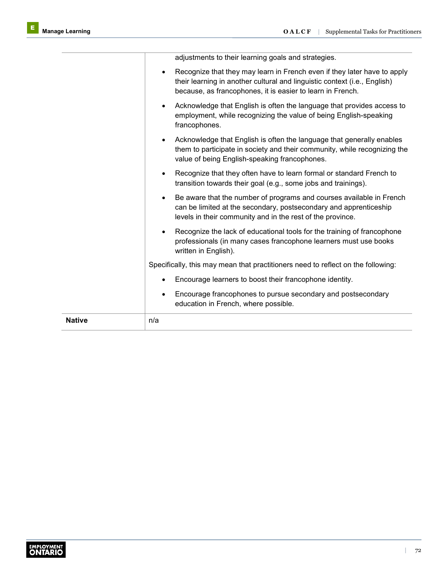| <b>Native</b> | n/a                                                                                                                                                                                                                              |
|---------------|----------------------------------------------------------------------------------------------------------------------------------------------------------------------------------------------------------------------------------|
|               | Encourage francophones to pursue secondary and postsecondary<br>$\bullet$<br>education in French, where possible.                                                                                                                |
|               | Encourage learners to boost their francophone identity.<br>$\bullet$                                                                                                                                                             |
|               | Specifically, this may mean that practitioners need to reflect on the following:                                                                                                                                                 |
|               | Recognize the lack of educational tools for the training of francophone<br>$\bullet$<br>professionals (in many cases francophone learners must use books<br>written in English).                                                 |
|               | Be aware that the number of programs and courses available in French<br>$\bullet$<br>can be limited at the secondary, postsecondary and apprenticeship<br>levels in their community and in the rest of the province.             |
|               | Recognize that they often have to learn formal or standard French to<br>$\bullet$<br>transition towards their goal (e.g., some jobs and trainings).                                                                              |
|               | Acknowledge that English is often the language that generally enables<br>$\bullet$<br>them to participate in society and their community, while recognizing the<br>value of being English-speaking francophones.                 |
|               | Acknowledge that English is often the language that provides access to<br>$\bullet$<br>employment, while recognizing the value of being English-speaking<br>francophones.                                                        |
|               | Recognize that they may learn in French even if they later have to apply<br>$\bullet$<br>their learning in another cultural and linguistic context (i.e., English)<br>because, as francophones, it is easier to learn in French. |
|               | adjustments to their learning goals and strategies.                                                                                                                                                                              |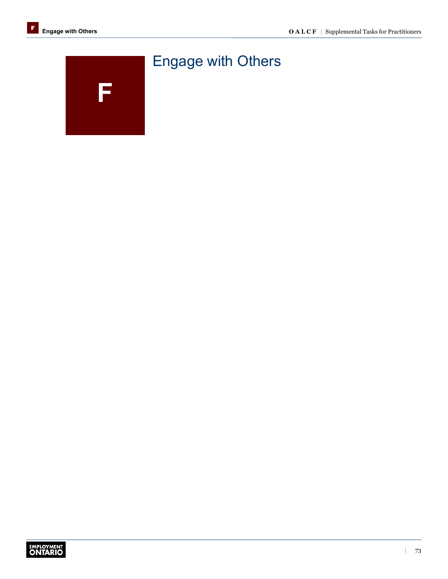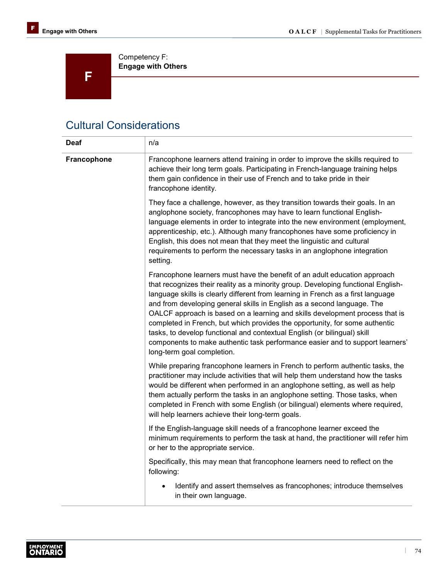

Competency F: **Engage with Others**

## Cultural Considerations

| <b>Deaf</b> | n/a                                                                                                                                                                                                                                                                                                                                                                                                                                                                                                                                                                                                                                                                                     |
|-------------|-----------------------------------------------------------------------------------------------------------------------------------------------------------------------------------------------------------------------------------------------------------------------------------------------------------------------------------------------------------------------------------------------------------------------------------------------------------------------------------------------------------------------------------------------------------------------------------------------------------------------------------------------------------------------------------------|
| Francophone | Francophone learners attend training in order to improve the skills required to<br>achieve their long term goals. Participating in French-language training helps<br>them gain confidence in their use of French and to take pride in their<br>francophone identity.                                                                                                                                                                                                                                                                                                                                                                                                                    |
|             | They face a challenge, however, as they transition towards their goals. In an<br>anglophone society, francophones may have to learn functional English-<br>language elements in order to integrate into the new environment (employment,<br>apprenticeship, etc.). Although many francophones have some proficiency in<br>English, this does not mean that they meet the linguistic and cultural<br>requirements to perform the necessary tasks in an anglophone integration<br>setting.                                                                                                                                                                                                |
|             | Francophone learners must have the benefit of an adult education approach<br>that recognizes their reality as a minority group. Developing functional English-<br>language skills is clearly different from learning in French as a first language<br>and from developing general skills in English as a second language. The<br>OALCF approach is based on a learning and skills development process that is<br>completed in French, but which provides the opportunity, for some authentic<br>tasks, to develop functional and contextual English (or bilingual) skill<br>components to make authentic task performance easier and to support learners'<br>long-term goal completion. |
|             | While preparing francophone learners in French to perform authentic tasks, the<br>practitioner may include activities that will help them understand how the tasks<br>would be different when performed in an anglophone setting, as well as help<br>them actually perform the tasks in an anglophone setting. Those tasks, when<br>completed in French with some English (or bilingual) elements where required,<br>will help learners achieve their long-term goals.                                                                                                                                                                                                                  |
|             | If the English-language skill needs of a francophone learner exceed the<br>minimum requirements to perform the task at hand, the practitioner will refer him<br>or her to the appropriate service.                                                                                                                                                                                                                                                                                                                                                                                                                                                                                      |
|             | Specifically, this may mean that francophone learners need to reflect on the<br>following:                                                                                                                                                                                                                                                                                                                                                                                                                                                                                                                                                                                              |
|             | Identify and assert themselves as francophones; introduce themselves<br>in their own language.                                                                                                                                                                                                                                                                                                                                                                                                                                                                                                                                                                                          |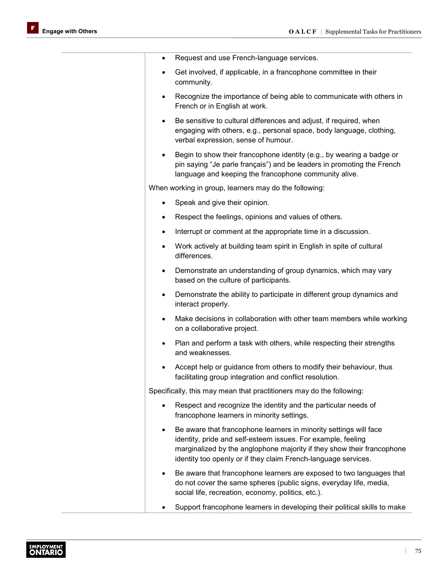| $\bullet$                                                            | Request and use French-language services.                                                                                                                                                                                                                                     |
|----------------------------------------------------------------------|-------------------------------------------------------------------------------------------------------------------------------------------------------------------------------------------------------------------------------------------------------------------------------|
| $\bullet$                                                            | Get involved, if applicable, in a francophone committee in their<br>community.                                                                                                                                                                                                |
| $\bullet$                                                            | Recognize the importance of being able to communicate with others in<br>French or in English at work.                                                                                                                                                                         |
| $\bullet$                                                            | Be sensitive to cultural differences and adjust, if required, when<br>engaging with others, e.g., personal space, body language, clothing,<br>verbal expression, sense of humour.                                                                                             |
| $\bullet$                                                            | Begin to show their francophone identity (e.g., by wearing a badge or<br>pin saying "Je parle français") and be leaders in promoting the French<br>language and keeping the francophone community alive.                                                                      |
|                                                                      | When working in group, learners may do the following:                                                                                                                                                                                                                         |
| $\bullet$                                                            | Speak and give their opinion.                                                                                                                                                                                                                                                 |
| ٠                                                                    | Respect the feelings, opinions and values of others.                                                                                                                                                                                                                          |
| $\bullet$                                                            | Interrupt or comment at the appropriate time in a discussion.                                                                                                                                                                                                                 |
| $\bullet$                                                            | Work actively at building team spirit in English in spite of cultural<br>differences.                                                                                                                                                                                         |
|                                                                      | Demonstrate an understanding of group dynamics, which may vary<br>based on the culture of participants.                                                                                                                                                                       |
| $\bullet$                                                            | Demonstrate the ability to participate in different group dynamics and<br>interact properly.                                                                                                                                                                                  |
| $\bullet$                                                            | Make decisions in collaboration with other team members while working<br>on a collaborative project.                                                                                                                                                                          |
| $\bullet$                                                            | Plan and perform a task with others, while respecting their strengths<br>and weaknesses.                                                                                                                                                                                      |
|                                                                      | Accept help or guidance from others to modify their behaviour, thus<br>facilitating group integration and conflict resolution.                                                                                                                                                |
| Specifically, this may mean that practitioners may do the following: |                                                                                                                                                                                                                                                                               |
|                                                                      | Respect and recognize the identity and the particular needs of<br>francophone learners in minority settings.                                                                                                                                                                  |
| $\bullet$                                                            | Be aware that francophone learners in minority settings will face<br>identity, pride and self-esteem issues. For example, feeling<br>marginalized by the anglophone majority if they show their francophone<br>identity too openly or if they claim French-language services. |
| $\bullet$                                                            | Be aware that francophone learners are exposed to two languages that<br>do not cover the same spheres (public signs, everyday life, media,<br>social life, recreation, economy, politics, etc.).                                                                              |
|                                                                      | Support francophone learners in developing their political skills to make                                                                                                                                                                                                     |